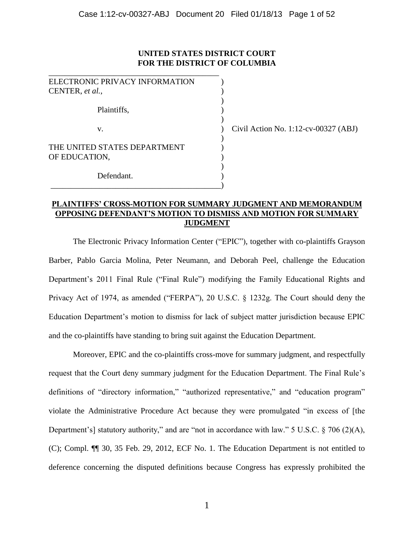## **UNITED STATES DISTRICT COURT FOR THE DISTRICT OF COLUMBIA**

| ELECTRONIC PRIVACY INFORMATION |  |
|--------------------------------|--|
| CENTER, et al.,                |  |
|                                |  |
| Plaintiffs,                    |  |
|                                |  |
| V.                             |  |
|                                |  |
| THE UNITED STATES DEPARTMENT   |  |
| OF EDUCATION,                  |  |
|                                |  |
| Defendant.                     |  |
|                                |  |

 $\vert$  Civil Action No. 1:12-cv-00327 (ABJ)

### **PLAINTIFFS' CROSS-MOTION FOR SUMMARY JUDGMENT AND MEMORANDUM OPPOSING DEFENDANT'S MOTION TO DISMISS AND MOTION FOR SUMMARY JUDGMENT**

The Electronic Privacy Information Center ("EPIC"), together with co-plaintiffs Grayson Barber, Pablo Garcia Molina, Peter Neumann, and Deborah Peel, challenge the Education Department's 2011 Final Rule ("Final Rule") modifying the Family Educational Rights and Privacy Act of 1974, as amended ("FERPA"), 20 U.S.C. § 1232g. The Court should deny the Education Department's motion to dismiss for lack of subject matter jurisdiction because EPIC and the co-plaintiffs have standing to bring suit against the Education Department.

Moreover, EPIC and the co-plaintiffs cross-move for summary judgment, and respectfully request that the Court deny summary judgment for the Education Department. The Final Rule's definitions of "directory information," "authorized representative," and "education program" violate the Administrative Procedure Act because they were promulgated "in excess of [the Department's] statutory authority," and are "not in accordance with law." 5 U.S.C. § 706 (2)(A), (C); Compl. ¶¶ 30, 35 Feb. 29, 2012, ECF No. 1. The Education Department is not entitled to deference concerning the disputed definitions because Congress has expressly prohibited the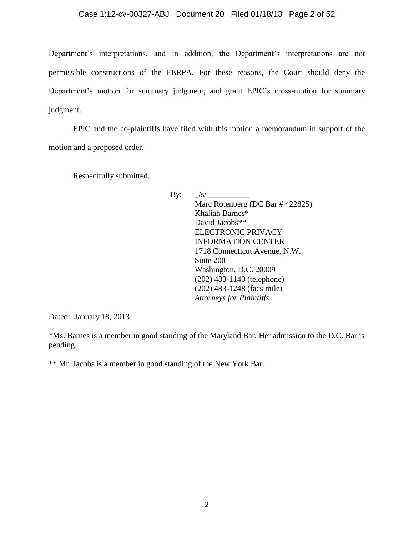### Case 1:12-cv-00327-ABJ Document 20 Filed 01/18/13 Page 2 of 52

Department's interpretations, and in addition, the Department's interpretations are not permissible constructions of the FERPA. For these reasons, the Court should deny the Department's motion for summary judgment, and grant EPIC's cross-motion for summary judgment.

EPIC and the co-plaintiffs have filed with this motion a memorandum in support of the motion and a proposed order.

Respectfully submitted,

By:  $\frac{|s|}{\sqrt{s}}$ Marc Rotenberg (DC Bar # 422825) Khaliah Barnes\* David Jacobs\*\* ELECTRONIC PRIVACY INFORMATION CENTER 1718 Connecticut Avenue, N.W. Suite 200 Washington, D.C. 20009 (202) 483-1140 (telephone) (202) 483-1248 (facsimile) *Attorneys for Plaintiffs*

Dated: January 18, 2013

*\**Ms. Barnes is a member in good standing of the Maryland Bar. Her admission to the D.C. Bar is pending.

\*\* Mr. Jacobs is a member in good standing of the New York Bar.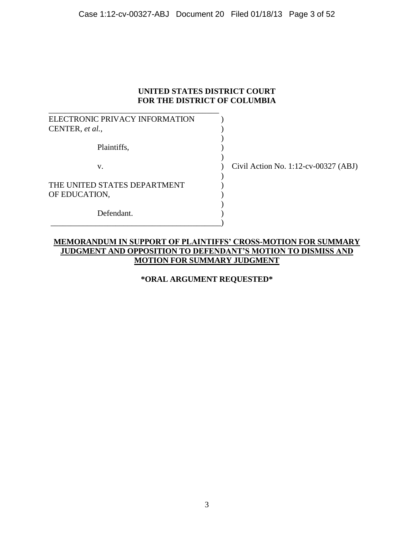## **UNITED STATES DISTRICT COURT FOR THE DISTRICT OF COLUMBIA**

| ELECTRONIC PRIVACY INFORMATION                |                                        |
|-----------------------------------------------|----------------------------------------|
| CENTER, et al.,                               |                                        |
| Plaintiffs,                                   |                                        |
| V.                                            | Civil Action No. 1:12-cv-00327 $(ABJ)$ |
| THE UNITED STATES DEPARTMENT<br>OF EDUCATION, |                                        |
| Defendant.                                    |                                        |

## **MEMORANDUM IN SUPPORT OF PLAINTIFFS' CROSS-MOTION FOR SUMMARY JUDGMENT AND OPPOSITION TO DEFENDANT'S MOTION TO DISMISS AND MOTION FOR SUMMARY JUDGMENT**

## **\*ORAL ARGUMENT REQUESTED\***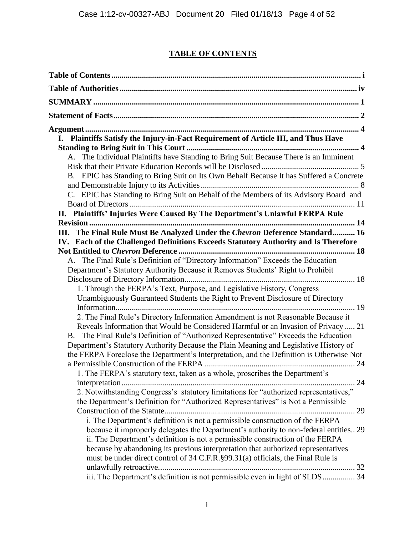# **TABLE OF CONTENTS**

| I. Plaintiffs Satisfy the Injury-in-Fact Requirement of Article III, and Thus Have       |
|------------------------------------------------------------------------------------------|
|                                                                                          |
| A. The Individual Plaintiffs have Standing to Bring Suit Because There is an Imminent    |
|                                                                                          |
| B. EPIC has Standing to Bring Suit on Its Own Behalf Because It has Suffered a Concrete  |
|                                                                                          |
| C. EPIC has Standing to Bring Suit on Behalf of the Members of its Advisory Board and    |
|                                                                                          |
| II. Plaintiffs' Injuries Were Caused By The Department's Unlawful FERPA Rule             |
|                                                                                          |
| III. The Final Rule Must Be Analyzed Under the Chevron Deference Standard 16             |
| IV. Each of the Challenged Definitions Exceeds Statutory Authority and Is Therefore      |
|                                                                                          |
| A. The Final Rule's Definition of "Directory Information" Exceeds the Education          |
| Department's Statutory Authority Because it Removes Students' Right to Prohibit          |
|                                                                                          |
| 1. Through the FERPA's Text, Purpose, and Legislative History, Congress                  |
| Unambiguously Guaranteed Students the Right to Prevent Disclosure of Directory           |
|                                                                                          |
| 2. The Final Rule's Directory Information Amendment is not Reasonable Because it         |
| Reveals Information that Would be Considered Harmful or an Invasion of Privacy  21       |
| B. The Final Rule's Definition of "Authorized Representative" Exceeds the Education      |
| Department's Statutory Authority Because the Plain Meaning and Legislative History of    |
| the FERPA Foreclose the Department's Interpretation, and the Definition is Otherwise Not |
|                                                                                          |
| 1. The FERPA's statutory text, taken as a whole, proscribes the Department's             |
| 24                                                                                       |
| 2. Notwithstanding Congress's statutory limitations for "authorized representatives,"    |
| the Department's Definition for "Authorized Representatives" is Not a Permissible        |
|                                                                                          |
| i. The Department's definition is not a permissible construction of the FERPA            |
| because it improperly delegates the Department's authority to non-federal entities 29    |
| ii. The Department's definition is not a permissible construction of the FERPA           |
| because by abandoning its previous interpretation that authorized representatives        |
| must be under direct control of 34 C.F.R. §99.31(a) officials, the Final Rule is         |
|                                                                                          |
| iii. The Department's definition is not permissible even in light of SLDS 34             |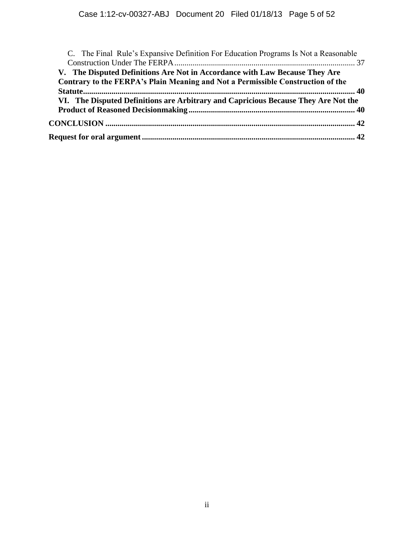| C. The Final Rule's Expansive Definition For Education Programs Is Not a Reasonable |  |
|-------------------------------------------------------------------------------------|--|
|                                                                                     |  |
| V. The Disputed Definitions Are Not in Accordance with Law Because They Are         |  |
| Contrary to the FERPA's Plain Meaning and Not a Permissible Construction of the     |  |
|                                                                                     |  |
| VI. The Disputed Definitions are Arbitrary and Capricious Because They Are Not the  |  |
|                                                                                     |  |
|                                                                                     |  |
|                                                                                     |  |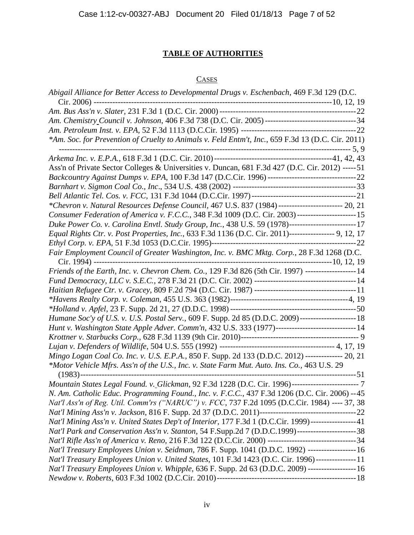# **TABLE OF AUTHORITIES**

## **CASES**

| *Am. Soc. for Prevention of Cruelty to Animals v. Feld Entm't, Inc., 659 F.3d 13 (D.C. Cir. 2011)                            |  |
|------------------------------------------------------------------------------------------------------------------------------|--|
|                                                                                                                              |  |
| Ass'n of Private Sector Colleges & Universities v. Duncan, 681 F.3d 427 (D.C. Cir. 2012) ----- 51                            |  |
|                                                                                                                              |  |
|                                                                                                                              |  |
|                                                                                                                              |  |
| *Chevron v. Natural Resources Defense Council, 467 U.S. 837 (1984) ------------------------ 20, 21                           |  |
| Consumer Federation of America v. F.C.C., 348 F.3d 1009 (D.C. Cir. 2003) ----------------------- 15                          |  |
| Duke Power Co. v. Carolina Envtl. Study Group, Inc., 438 U.S. 59 (1978)-------------------------17                           |  |
| Equal Rights Ctr. v. Post Properties, Inc., 633 F.3d 1136 (D.C. Cir. 2011)----------------- 9, 12, 17                        |  |
|                                                                                                                              |  |
|                                                                                                                              |  |
|                                                                                                                              |  |
| Friends of the Earth, Inc. v. Chevron Chem. Co., 129 F.3d 826 (5th Cir. 1997) -------------------14                          |  |
|                                                                                                                              |  |
|                                                                                                                              |  |
|                                                                                                                              |  |
|                                                                                                                              |  |
|                                                                                                                              |  |
| Hunt v. Washington State Apple Adver. Comm'n, 432 U.S. 333 (1977)-----------------------------14                             |  |
|                                                                                                                              |  |
|                                                                                                                              |  |
| Mingo Logan Coal Co. Inc. v. U.S. E.P.A., 850 F. Supp. 2d 133 (D.D.C. 2012) -------------- 20, 21                            |  |
| *Motor Vehicle Mfrs. Ass'n of the U.S., Inc. v. State Farm Mut. Auto. Ins. Co., 463 U.S. 29<br>---------------------------51 |  |
| Mountain States Legal Found. v. Glickman, 92 F.3d 1228 (D.C. Cir. 1996)--------------------------7                           |  |
| N. Am. Catholic Educ. Programming Found., Inc. v. F.C.C., 437 F.3d 1206 (D.C. Cir. 2006) --45                                |  |
|                                                                                                                              |  |
| Nat'l Ass'n of Reg. Util. Comm'rs ("NARUC") v. FCC, 737 F.2d 1095 (D.C.Cir. 1984) ---- 37, 38                                |  |
|                                                                                                                              |  |
| Nat'l Mining Ass'n v. United States Dep't of Interior, 177 F.3d 1 (D.C.Cir. 1999)----------------41                          |  |
| Nat'l Park and Conservation Ass'n v. Stanton, 54 F.Supp.2d 7 (D.D.C.1999)-------------------------38                         |  |
|                                                                                                                              |  |
| Nat'l Treasury Employees Union v. Seidman, 786 F. Supp. 1041 (D.D.C. 1992) ------------------ 16                             |  |
| Nat'l Treasury Employees Union v. United States, 101 F.3d 1423 (D.C. Cir. 1996)---------------11                             |  |
| Nat'l Treasury Employees Union v. Whipple, 636 F. Supp. 2d 63 (D.D.C. 2009) ------------------ 16                            |  |
|                                                                                                                              |  |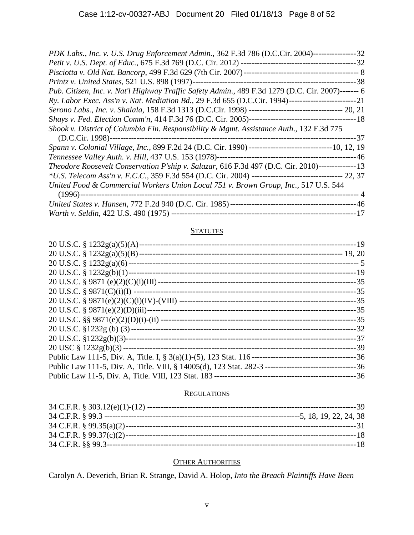| PDK Labs., Inc. v. U.S. Drug Enforcement Admin., 362 F.3d 786 (D.C.Cir. 2004)-----------------32   |
|----------------------------------------------------------------------------------------------------|
|                                                                                                    |
|                                                                                                    |
|                                                                                                    |
| Pub. Citizen, Inc. v. Nat'l Highway Traffic Safety Admin., 489 F.3d 1279 (D.C. Cir. 2007)------- 6 |
|                                                                                                    |
|                                                                                                    |
|                                                                                                    |
| Shook v. District of Columbia Fin. Responsibility & Mgmt. Assistance Auth., 132 F.3d 775           |
|                                                                                                    |
|                                                                                                    |
|                                                                                                    |
|                                                                                                    |
| Theodore Roosevelt Conservation P'ship v. Salazar, 616 F.3d 497 (D.C. Cir. 2010)---------------13  |
|                                                                                                    |
| United Food & Commercial Workers Union Local 751 v. Brown Group, Inc., 517 U.S. 544                |
|                                                                                                    |
|                                                                                                    |

## **STATUTES**

| 20 U.S.C. § $1232g(a)(5)(A)$ -  |  |
|---------------------------------|--|
|                                 |  |
|                                 |  |
|                                 |  |
|                                 |  |
|                                 |  |
|                                 |  |
| 20 U.S.C. § 9871(e)(2)(D)(iii)- |  |
|                                 |  |
|                                 |  |
|                                 |  |
|                                 |  |
|                                 |  |
|                                 |  |
|                                 |  |
|                                 |  |

## **REGULATIONS**

## **OTHER AUTHORITIES**

Carolyn A. Deverich, Brian R. Strange, David A. Holop*, Into the Breach Plaintiffs Have Been*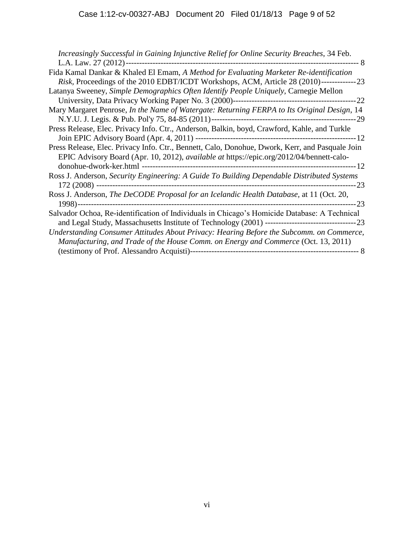| Increasingly Successful in Gaining Injunctive Relief for Online Security Breaches, 34 Feb.                                                                                                         |
|----------------------------------------------------------------------------------------------------------------------------------------------------------------------------------------------------|
|                                                                                                                                                                                                    |
| Fida Kamal Dankar & Khaled El Emam, A Method for Evaluating Marketer Re-identification                                                                                                             |
| <i>Risk</i> , Proceedings of the 2010 EDBT/ICDT Workshops, ACM, Article 28 (2010)----------------23                                                                                                |
| Latanya Sweeney, Simple Demographics Often Identify People Uniquely, Carnegie Mellon                                                                                                               |
|                                                                                                                                                                                                    |
| Mary Margaret Penrose, In the Name of Watergate: Returning FERPA to Its Original Design, 14                                                                                                        |
|                                                                                                                                                                                                    |
| Press Release, Elec. Privacy Info. Ctr., Anderson, Balkin, boyd, Crawford, Kahle, and Turkle                                                                                                       |
|                                                                                                                                                                                                    |
| Press Release, Elec. Privacy Info. Ctr., Bennett, Calo, Donohue, Dwork, Kerr, and Pasquale Join<br>EPIC Advisory Board (Apr. 10, 2012), <i>available at https://epic.org/2012/04/bennett-calo-</i> |
| Ross J. Anderson, Security Engineering: A Guide To Building Dependable Distributed Systems                                                                                                         |
| Ross J. Anderson, The DeCODE Proposal for an Icelandic Health Database, at 11 (Oct. 20,                                                                                                            |
| Salvador Ochoa, Re-identification of Individuals in Chicago's Homicide Database: A Technical                                                                                                       |
| Understanding Consumer Attitudes About Privacy: Hearing Before the Subcomm. on Commerce,<br>Manufacturing, and Trade of the House Comm. on Energy and Commerce (Oct. 13, 2011)                     |
|                                                                                                                                                                                                    |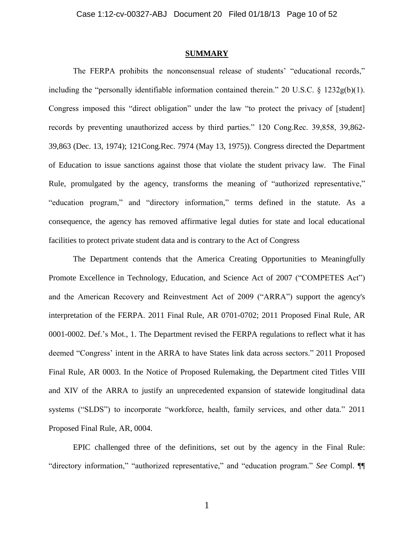### **SUMMARY**

The FERPA prohibits the nonconsensual release of students' "educational records," including the "personally identifiable information contained therein." 20 U.S.C. § 1232g(b)(1). Congress imposed this "direct obligation" under the law "to protect the privacy of [student] records by preventing unauthorized access by third parties." 120 Cong.Rec. 39,858, 39,862- 39,863 (Dec. 13, 1974); 121Cong.Rec. 7974 (May 13, 1975)). Congress directed the Department of Education to issue sanctions against those that violate the student privacy law. The Final Rule, promulgated by the agency, transforms the meaning of "authorized representative," "education program," and "directory information," terms defined in the statute. As a consequence, the agency has removed affirmative legal duties for state and local educational facilities to protect private student data and is contrary to the Act of Congress

The Department contends that the America Creating Opportunities to Meaningfully Promote Excellence in Technology, Education, and Science Act of 2007 ("COMPETES Act") and the American Recovery and Reinvestment Act of 2009 ("ARRA") support the agency's interpretation of the FERPA. 2011 Final Rule, AR 0701-0702; 2011 Proposed Final Rule, AR 0001-0002. Def.'s Mot., 1. The Department revised the FERPA regulations to reflect what it has deemed "Congress' intent in the ARRA to have States link data across sectors." 2011 Proposed Final Rule, AR 0003. In the Notice of Proposed Rulemaking, the Department cited Titles VIII and XIV of the ARRA to justify an unprecedented expansion of statewide longitudinal data systems ("SLDS") to incorporate "workforce, health, family services, and other data." 2011 Proposed Final Rule, AR, 0004.

EPIC challenged three of the definitions, set out by the agency in the Final Rule: "directory information," "authorized representative," and "education program." *See* Compl. ¶¶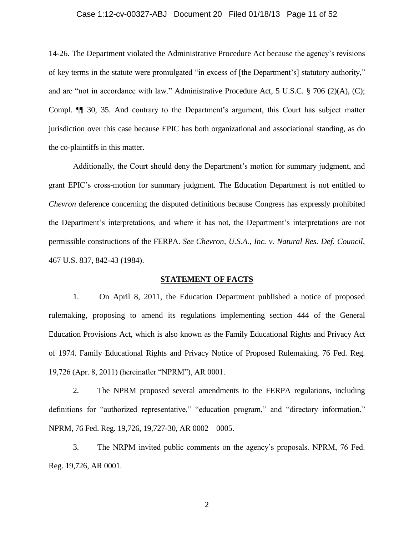#### Case 1:12-cv-00327-ABJ Document 20 Filed 01/18/13 Page 11 of 52

14-26. The Department violated the Administrative Procedure Act because the agency's revisions of key terms in the statute were promulgated "in excess of [the Department's] statutory authority," and are "not in accordance with law." Administrative Procedure Act, 5 U.S.C. § 706 (2)(A), (C); Compl. ¶¶ 30, 35. And contrary to the Department's argument, this Court has subject matter jurisdiction over this case because EPIC has both organizational and associational standing, as do the co-plaintiffs in this matter.

Additionally, the Court should deny the Department's motion for summary judgment, and grant EPIC's cross-motion for summary judgment. The Education Department is not entitled to *Chevron* deference concerning the disputed definitions because Congress has expressly prohibited the Department's interpretations, and where it has not, the Department's interpretations are not permissible constructions of the FERPA. *See Chevron, U.S.A., Inc. v. Natural Res. Def. Council,* 467 U.S. 837, 842-43 (1984).

### **STATEMENT OF FACTS**

1. On April 8, 2011, the Education Department published a notice of proposed rulemaking, proposing to amend its regulations implementing section 444 of the General Education Provisions Act, which is also known as the Family Educational Rights and Privacy Act of 1974. Family Educational Rights and Privacy Notice of Proposed Rulemaking, 76 Fed. Reg. 19,726 (Apr. 8, 2011) (hereinafter "NPRM"), AR 0001.

2. The NPRM proposed several amendments to the FERPA regulations, including definitions for "authorized representative," "education program," and "directory information." NPRM, 76 Fed. Reg. 19,726, 19,727-30, AR 0002 – 0005.

3. The NRPM invited public comments on the agency's proposals. NPRM, 76 Fed. Reg. 19,726, AR 0001.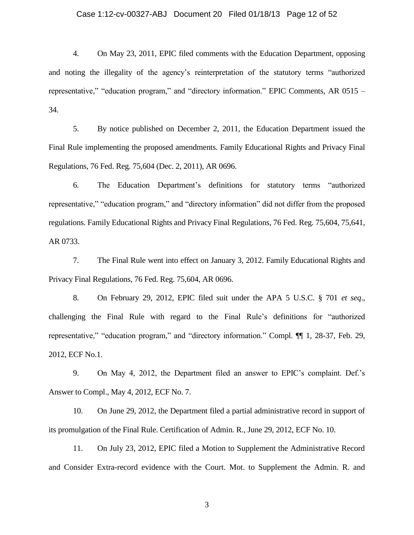### Case 1:12-cv-00327-ABJ Document 20 Filed 01/18/13 Page 12 of 52

4. On May 23, 2011, EPIC filed comments with the Education Department, opposing and noting the illegality of the agency's reinterpretation of the statutory terms "authorized representative," "education program," and "directory information." EPIC Comments, AR 0515 – 34.

5. By notice published on December 2, 2011, the Education Department issued the Final Rule implementing the proposed amendments. Family Educational Rights and Privacy Final Regulations, 76 Fed. Reg. 75,604 (Dec. 2, 2011), AR 0696.

6. The Education Department's definitions for statutory terms "authorized representative," "education program," and "directory information" did not differ from the proposed regulations. Family Educational Rights and Privacy Final Regulations, 76 Fed. Reg. 75,604, 75,641, AR 0733.

7. The Final Rule went into effect on January 3, 2012. Family Educational Rights and Privacy Final Regulations, 76 Fed. Reg. 75,604, AR 0696.

8. On February 29, 2012, EPIC filed suit under the APA 5 U.S.C. § 701 *et seq*., challenging the Final Rule with regard to the Final Rule's definitions for "authorized representative," "education program," and "directory information." Compl. ¶¶ 1, 28-37, Feb. 29, 2012, ECF No.1.

9. On May 4, 2012, the Department filed an answer to EPIC's complaint. Def.'s Answer to Compl., May 4, 2012, ECF No. 7.

10. On June 29, 2012, the Department filed a partial administrative record in support of its promulgation of the Final Rule. Certification of Admin. R., June 29, 2012, ECF No. 10.

11. On July 23, 2012, EPIC filed a Motion to Supplement the Administrative Record and Consider Extra-record evidence with the Court. Mot. to Supplement the Admin. R. and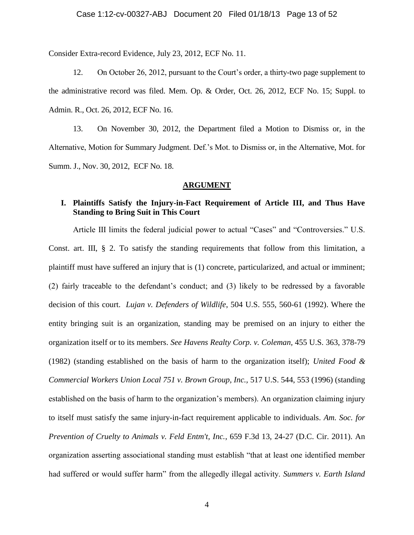Consider Extra-record Evidence, July 23, 2012, ECF No. 11.

12. On October 26, 2012, pursuant to the Court's order, a thirty-two page supplement to the administrative record was filed. Mem. Op. & Order, Oct. 26, 2012, ECF No. 15; Suppl. to Admin. R., Oct. 26, 2012, ECF No. 16.

13. On November 30, 2012, the Department filed a Motion to Dismiss or, in the Alternative, Motion for Summary Judgment. Def.'s Mot. to Dismiss or, in the Alternative, Mot. for Summ. J., Nov. 30, 2012, ECF No. 18.

### **ARGUMENT**

### **I. Plaintiffs Satisfy the Injury-in-Fact Requirement of Article III, and Thus Have Standing to Bring Suit in This Court**

Article III limits the federal judicial power to actual "Cases" and "Controversies." U.S. Const. art. III, § 2. To satisfy the standing requirements that follow from this limitation, a plaintiff must have suffered an injury that is (1) concrete, particularized, and actual or imminent; (2) fairly traceable to the defendant's conduct; and (3) likely to be redressed by a favorable decision of this court. *Lujan v. Defenders of Wildlife*, 504 U.S. 555, 560-61 (1992). Where the entity bringing suit is an organization, standing may be premised on an injury to either the organization itself or to its members. *See Havens Realty Corp. v. Coleman,* 455 U.S. 363, 378-79 (1982) (standing established on the basis of harm to the organization itself); *United Food & Commercial Workers Union Local 751 v. Brown Group, Inc.,* 517 U.S. 544, 553 (1996) (standing established on the basis of harm to the organization's members). An organization claiming injury to itself must satisfy the same injury-in-fact requirement applicable to individuals. *Am. Soc. for Prevention of Cruelty to Animals v. Feld Entm't, Inc.*, 659 F.3d 13, 24-27 (D.C. Cir. 2011). An organization asserting associational standing must establish "that at least one identified member had suffered or would suffer harm" from the allegedly illegal activity. *Summers v. Earth Island*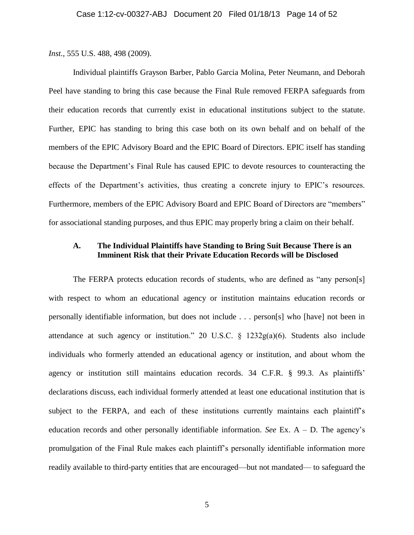*Inst.*, 555 U.S. 488, 498 (2009).

Individual plaintiffs Grayson Barber, Pablo Garcia Molina, Peter Neumann, and Deborah Peel have standing to bring this case because the Final Rule removed FERPA safeguards from their education records that currently exist in educational institutions subject to the statute. Further, EPIC has standing to bring this case both on its own behalf and on behalf of the members of the EPIC Advisory Board and the EPIC Board of Directors. EPIC itself has standing because the Department's Final Rule has caused EPIC to devote resources to counteracting the effects of the Department's activities, thus creating a concrete injury to EPIC's resources. Furthermore, members of the EPIC Advisory Board and EPIC Board of Directors are "members" for associational standing purposes, and thus EPIC may properly bring a claim on their behalf.

## **A. The Individual Plaintiffs have Standing to Bring Suit Because There is an Imminent Risk that their Private Education Records will be Disclosed**

The FERPA protects education records of students, who are defined as "any person[s] with respect to whom an educational agency or institution maintains education records or personally identifiable information, but does not include . . . person[s] who [have] not been in attendance at such agency or institution." 20 U.S.C. § 1232g(a)(6). Students also include individuals who formerly attended an educational agency or institution, and about whom the agency or institution still maintains education records. 34 C.F.R. § 99.3. As plaintiffs' declarations discuss, each individual formerly attended at least one educational institution that is subject to the FERPA, and each of these institutions currently maintains each plaintiff's education records and other personally identifiable information. *See* Ex. A – D. The agency's promulgation of the Final Rule makes each plaintiff's personally identifiable information more readily available to third-party entities that are encouraged—but not mandated— to safeguard the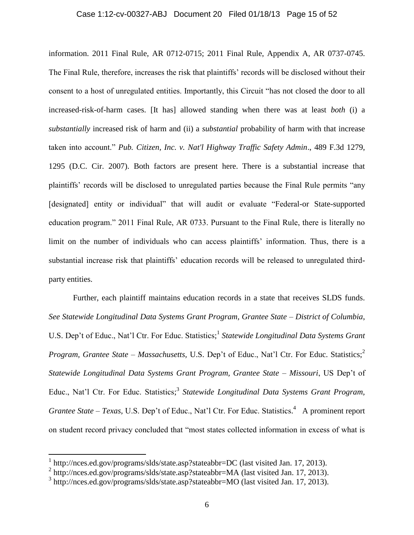### Case 1:12-cv-00327-ABJ Document 20 Filed 01/18/13 Page 15 of 52

information. 2011 Final Rule, AR 0712-0715; 2011 Final Rule, Appendix A, AR 0737-0745. The Final Rule, therefore, increases the risk that plaintiffs' records will be disclosed without their consent to a host of unregulated entities. Importantly, this Circuit "has not closed the door to all increased-risk-of-harm cases. [It has] allowed standing when there was at least *both* (i) a *substantially* increased risk of harm and (ii) a *substantial* probability of harm with that increase taken into account." *Pub. Citizen, Inc. v. Nat'l Highway Traffic Safety Admin*., 489 F.3d 1279, 1295 (D.C. Cir. 2007). Both factors are present here. There is a substantial increase that plaintiffs' records will be disclosed to unregulated parties because the Final Rule permits "any [designated] entity or individual" that will audit or evaluate "Federal-or State-supported education program." 2011 Final Rule, AR 0733. Pursuant to the Final Rule, there is literally no limit on the number of individuals who can access plaintiffs' information. Thus, there is a substantial increase risk that plaintiffs' education records will be released to unregulated thirdparty entities.

Further, each plaintiff maintains education records in a state that receives SLDS funds. *See Statewide Longitudinal Data Systems Grant Program, Grantee State – District of Columbia*, U.S. Dep't of Educ., Nat'l Ctr. For Educ. Statistics;<sup>1</sup> Statewide Longitudinal Data Systems Grant *Program, Grantee State – Massachusetts, U.S. Dep't of Educ., Nat'l Ctr. For Educ. Statistics;<sup>2</sup> Statewide Longitudinal Data Systems Grant Program, Grantee State – Missouri*, US Dep't of Educ., Nat'l Ctr. For Educ. Statistics; 3 *Statewide Longitudinal Data Systems Grant Program, Grantee State – Texas,* U.S. Dep't of Educ., Nat'l Ctr. For Educ. Statistics. <sup>4</sup> A prominent report on student record privacy concluded that "most states collected information in excess of what is

 $\overline{a}$ 

<sup>&</sup>lt;sup>1</sup> http://nces.ed.gov/programs/slds/state.asp?stateabbr=DC (last visited Jan. 17, 2013).

<sup>&</sup>lt;sup>2</sup> http://nces.ed.gov/programs/slds/state.asp?stateabbr=MA (last visited Jan. 17, 2013).

<sup>&</sup>lt;sup>3</sup> http://nces.ed.gov/programs/slds/state.asp?stateabbr=MO (last visited Jan. 17, 2013).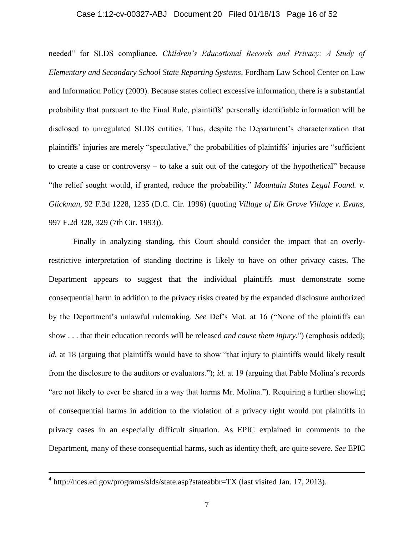## Case 1:12-cv-00327-ABJ Document 20 Filed 01/18/13 Page 16 of 52

needed" for SLDS compliance. *Children's Educational Records and Privacy: A Study of Elementary and Secondary School State Reporting Systems*, Fordham Law School Center on Law and Information Policy (2009). Because states collect excessive information, there is a substantial probability that pursuant to the Final Rule, plaintiffs' personally identifiable information will be disclosed to unregulated SLDS entities. Thus, despite the Department's characterization that plaintiffs' injuries are merely "speculative," the probabilities of plaintiffs' injuries are "sufficient to create a case or controversy – to take a suit out of the category of the hypothetical" because "the relief sought would, if granted, reduce the probability." *Mountain States Legal Found. v. Glickman*, 92 F.3d 1228, 1235 (D.C. Cir. 1996) (quoting *Village of Elk Grove Village v. Evans,* 997 F.2d 328, 329 (7th Cir. 1993)).

Finally in analyzing standing, this Court should consider the impact that an overlyrestrictive interpretation of standing doctrine is likely to have on other privacy cases. The Department appears to suggest that the individual plaintiffs must demonstrate some consequential harm in addition to the privacy risks created by the expanded disclosure authorized by the Department's unlawful rulemaking. *See* Def's Mot. at 16 ("None of the plaintiffs can show . . . that their education records will be released *and cause them injury*.") (emphasis added); *id.* at 18 (arguing that plaintiffs would have to show "that injury to plaintiffs would likely result from the disclosure to the auditors or evaluators."); *id.* at 19 (arguing that Pablo Molina's records "are not likely to ever be shared in a way that harms Mr. Molina."). Requiring a further showing of consequential harms in addition to the violation of a privacy right would put plaintiffs in privacy cases in an especially difficult situation. As EPIC explained in comments to the Department, many of these consequential harms, such as identity theft, are quite severe. *See* EPIC

 $\overline{a}$ 

 $4 \text{ http://nces.edu.gov/programs/slds/state.asp?stateabbr=TX (last visited Jan. 17, 2013).}$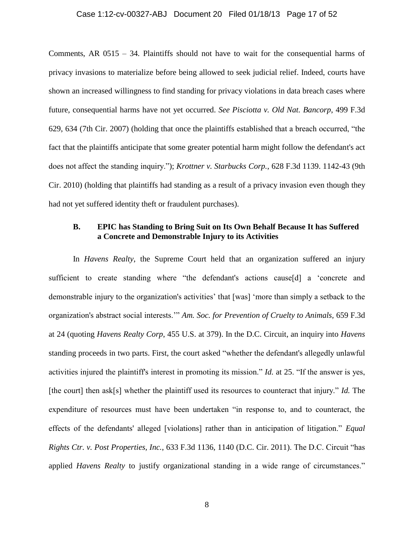### Case 1:12-cv-00327-ABJ Document 20 Filed 01/18/13 Page 17 of 52

Comments, AR 0515 – 34. Plaintiffs should not have to wait for the consequential harms of privacy invasions to materialize before being allowed to seek judicial relief. Indeed, courts have shown an increased willingness to find standing for privacy violations in data breach cases where future, consequential harms have not yet occurred. *See Pisciotta v. Old Nat. Bancorp*, 499 F.3d 629, 634 (7th Cir. 2007) (holding that once the plaintiffs established that a breach occurred, "the fact that the plaintiffs anticipate that some greater potential harm might follow the defendant's act does not affect the standing inquiry."); *Krottner v. Starbucks Corp.*, 628 F.3d 1139. 1142-43 (9th Cir. 2010) (holding that plaintiffs had standing as a result of a privacy invasion even though they had not yet suffered identity theft or fraudulent purchases).

## **B. EPIC has Standing to Bring Suit on Its Own Behalf Because It has Suffered a Concrete and Demonstrable Injury to its Activities**

In *Havens Realty*, the Supreme Court held that an organization suffered an injury sufficient to create standing where "the defendant's actions cause[d] a 'concrete and demonstrable injury to the organization's activities' that [was] 'more than simply a setback to the organization's abstract social interests.'" *Am. Soc. for Prevention of Cruelty to Animals,* 659 F.3d at 24 (quoting *Havens Realty Corp*, 455 U.S. at 379). In the D.C. Circuit, an inquiry into *Havens* standing proceeds in two parts. First, the court asked "whether the defendant's allegedly unlawful activities injured the plaintiff's interest in promoting its mission." *Id.* at 25. "If the answer is yes, [the court] then ask[s] whether the plaintiff used its resources to counteract that injury." *Id.* The expenditure of resources must have been undertaken "in response to, and to counteract, the effects of the defendants' alleged [violations] rather than in anticipation of litigation." *Equal Rights Ctr. v. Post Properties, Inc.*, 633 F.3d 1136, 1140 (D.C. Cir. 2011). The D.C. Circuit "has applied *Havens Realty* to justify organizational standing in a wide range of circumstances."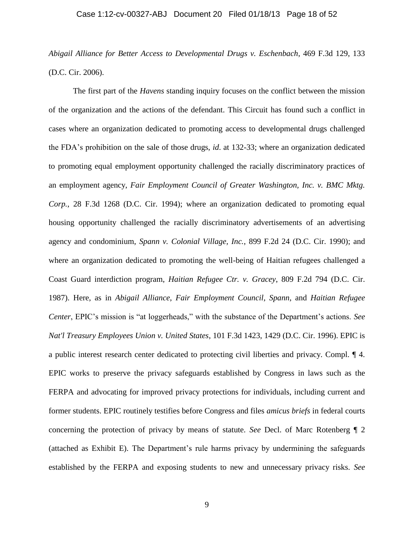### Case 1:12-cv-00327-ABJ Document 20 Filed 01/18/13 Page 18 of 52

*Abigail Alliance for Better Access to Developmental Drugs v. Eschenbach*, 469 F.3d 129, 133 (D.C. Cir. 2006).

The first part of the *Havens* standing inquiry focuses on the conflict between the mission of the organization and the actions of the defendant. This Circuit has found such a conflict in cases where an organization dedicated to promoting access to developmental drugs challenged the FDA's prohibition on the sale of those drugs, *id*. at 132-33; where an organization dedicated to promoting equal employment opportunity challenged the racially discriminatory practices of an employment agency, *Fair Employment Council of Greater Washington, Inc. v. BMC Mktg. Corp.*, 28 F.3d 1268 (D.C. Cir. 1994); where an organization dedicated to promoting equal housing opportunity challenged the racially discriminatory advertisements of an advertising agency and condominium, *Spann v. Colonial Village, Inc.*, 899 F.2d 24 (D.C. Cir. 1990); and where an organization dedicated to promoting the well-being of Haitian refugees challenged a Coast Guard interdiction program, *Haitian Refugee Ctr. v. Gracey*, 809 F.2d 794 (D.C. Cir. 1987). Here, as in *Abigail Alliance*, *Fair Employment Council*, *Spann*, and *Haitian Refugee Center*, EPIC's mission is "at loggerheads," with the substance of the Department's actions. *See Nat'l Treasury Employees Union v. United States*, 101 F.3d 1423, 1429 (D.C. Cir. 1996). EPIC is a public interest research center dedicated to protecting civil liberties and privacy. Compl. ¶ 4. EPIC works to preserve the privacy safeguards established by Congress in laws such as the FERPA and advocating for improved privacy protections for individuals, including current and former students. EPIC routinely testifies before Congress and files *amicus briefs* in federal courts concerning the protection of privacy by means of statute. *See* Decl. of Marc Rotenberg ¶ 2 (attached as Exhibit E). The Department's rule harms privacy by undermining the safeguards established by the FERPA and exposing students to new and unnecessary privacy risks. *See*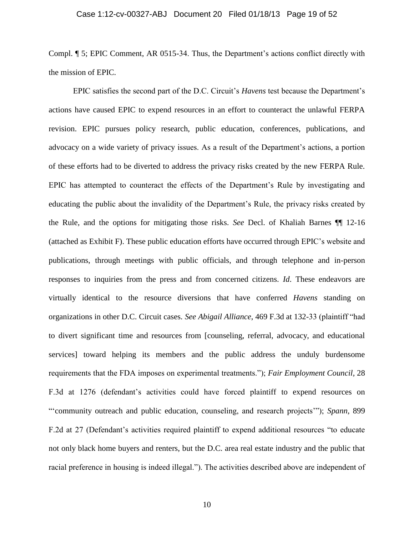### Case 1:12-cv-00327-ABJ Document 20 Filed 01/18/13 Page 19 of 52

Compl. ¶ 5; EPIC Comment, AR 0515-34. Thus, the Department's actions conflict directly with the mission of EPIC.

EPIC satisfies the second part of the D.C. Circuit's *Havens* test because the Department's actions have caused EPIC to expend resources in an effort to counteract the unlawful FERPA revision. EPIC pursues policy research, public education, conferences, publications, and advocacy on a wide variety of privacy issues. As a result of the Department's actions, a portion of these efforts had to be diverted to address the privacy risks created by the new FERPA Rule. EPIC has attempted to counteract the effects of the Department's Rule by investigating and educating the public about the invalidity of the Department's Rule, the privacy risks created by the Rule, and the options for mitigating those risks. *See* Decl. of Khaliah Barnes ¶¶ 12-16 (attached as Exhibit F). These public education efforts have occurred through EPIC's website and publications, through meetings with public officials, and through telephone and in-person responses to inquiries from the press and from concerned citizens. *Id*. These endeavors are virtually identical to the resource diversions that have conferred *Havens* standing on organizations in other D.C. Circuit cases. *See Abigail Alliance*, 469 F.3d at 132-33 (plaintiff "had to divert significant time and resources from [counseling, referral, advocacy, and educational services] toward helping its members and the public address the unduly burdensome requirements that the FDA imposes on experimental treatments."); *Fair Employment Council,* 28 F.3d at 1276 (defendant's activities could have forced plaintiff to expend resources on "'community outreach and public education, counseling, and research projects'"); *Spann*, 899 F.2d at 27 (Defendant's activities required plaintiff to expend additional resources "to educate not only black home buyers and renters, but the D.C. area real estate industry and the public that racial preference in housing is indeed illegal."). The activities described above are independent of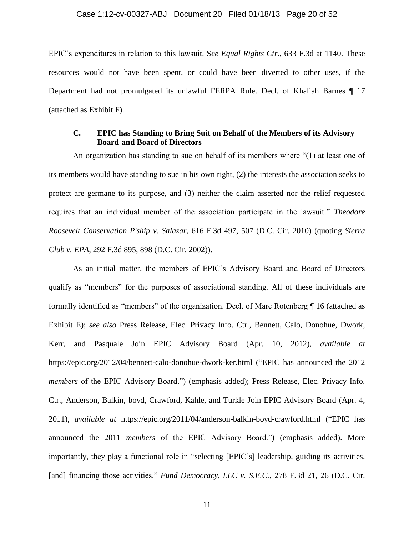#### Case 1:12-cv-00327-ABJ Document 20 Filed 01/18/13 Page 20 of 52

EPIC's expenditures in relation to this lawsuit. S*ee Equal Rights Ctr.,* 633 F.3d at 1140. These resources would not have been spent, or could have been diverted to other uses, if the Department had not promulgated its unlawful FERPA Rule. Decl. of Khaliah Barnes ¶ 17 (attached as Exhibit F).

### **C. EPIC has Standing to Bring Suit on Behalf of the Members of its Advisory Board and Board of Directors**

An organization has standing to sue on behalf of its members where "(1) at least one of its members would have standing to sue in his own right, (2) the interests the association seeks to protect are germane to its purpose, and (3) neither the claim asserted nor the relief requested requires that an individual member of the association participate in the lawsuit." *Theodore Roosevelt Conservation P'ship v. Salazar*, 616 F.3d 497, 507 (D.C. Cir. 2010) (quoting *Sierra Club v. EPA*, 292 F.3d 895, 898 (D.C. Cir. 2002)).

As an initial matter, the members of EPIC's Advisory Board and Board of Directors qualify as "members" for the purposes of associational standing. All of these individuals are formally identified as "members" of the organization. Decl. of Marc Rotenberg ¶ 16 (attached as Exhibit E); *see also* Press Release, Elec. Privacy Info. Ctr., Bennett, Calo, Donohue, Dwork, Kerr, and Pasquale Join EPIC Advisory Board (Apr. 10, 2012), *available at* https://epic.org/2012/04/bennett-calo-donohue-dwork-ker.html ("EPIC has announced the 2012 *members* of the EPIC Advisory Board.") (emphasis added); Press Release, Elec. Privacy Info. Ctr., Anderson, Balkin, boyd, Crawford, Kahle, and Turkle Join EPIC Advisory Board (Apr. 4, 2011), *available at* https://epic.org/2011/04/anderson-balkin-boyd-crawford.html ("EPIC has announced the 2011 *members* of the EPIC Advisory Board.") (emphasis added). More importantly, they play a functional role in "selecting [EPIC's] leadership, guiding its activities, [and] financing those activities." *Fund Democracy, LLC v. S.E.C.*, 278 F.3d 21, 26 (D.C. Cir.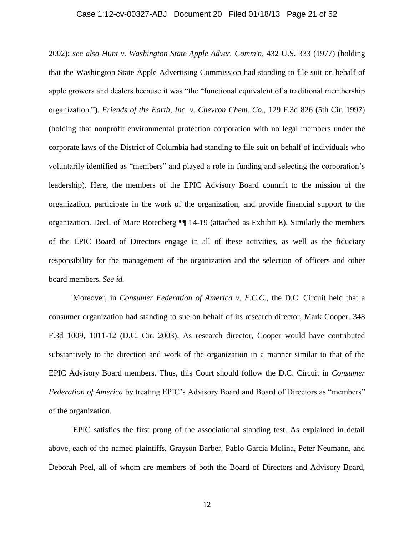## Case 1:12-cv-00327-ABJ Document 20 Filed 01/18/13 Page 21 of 52

2002); *see also Hunt v. Washington State Apple Adver. Comm'n*, 432 U.S. 333 (1977) (holding that the Washington State Apple Advertising Commission had standing to file suit on behalf of apple growers and dealers because it was "the "functional equivalent of a traditional membership organization."). *Friends of the Earth, Inc. v. Chevron Chem. Co.*, 129 F.3d 826 (5th Cir. 1997) (holding that nonprofit environmental protection corporation with no legal members under the corporate laws of the District of Columbia had standing to file suit on behalf of individuals who voluntarily identified as "members" and played a role in funding and selecting the corporation's leadership). Here, the members of the EPIC Advisory Board commit to the mission of the organization, participate in the work of the organization, and provide financial support to the organization. Decl. of Marc Rotenberg ¶¶ 14-19 (attached as Exhibit E). Similarly the members of the EPIC Board of Directors engage in all of these activities, as well as the fiduciary responsibility for the management of the organization and the selection of officers and other board members. *See id.*

Moreover, in *Consumer Federation of America v. F.C.C.*, the D.C. Circuit held that a consumer organization had standing to sue on behalf of its research director, Mark Cooper. 348 F.3d 1009, 1011-12 (D.C. Cir. 2003). As research director, Cooper would have contributed substantively to the direction and work of the organization in a manner similar to that of the EPIC Advisory Board members. Thus, this Court should follow the D.C. Circuit in *Consumer Federation of America* by treating EPIC's Advisory Board and Board of Directors as "members" of the organization.

EPIC satisfies the first prong of the associational standing test. As explained in detail above, each of the named plaintiffs, Grayson Barber, Pablo Garcia Molina, Peter Neumann, and Deborah Peel, all of whom are members of both the Board of Directors and Advisory Board,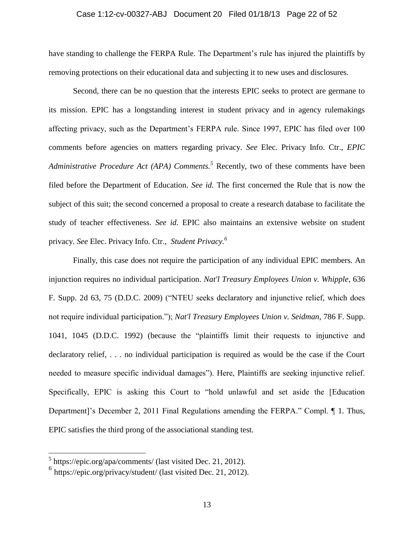## Case 1:12-cv-00327-ABJ Document 20 Filed 01/18/13 Page 22 of 52

have standing to challenge the FERPA Rule. The Department's rule has injured the plaintiffs by removing protections on their educational data and subjecting it to new uses and disclosures.

Second, there can be no question that the interests EPIC seeks to protect are germane to its mission. EPIC has a longstanding interest in student privacy and in agency rulemakings affecting privacy, such as the Department's FERPA rule. Since 1997, EPIC has filed over 100 comments before agencies on matters regarding privacy. *See* Elec. Privacy Info. Ctr., *EPIC Administrative Procedure Act (APA) Comments. <sup>5</sup>* Recently, two of these comments have been filed before the Department of Education. *See id.* The first concerned the Rule that is now the subject of this suit; the second concerned a proposal to create a research database to facilitate the study of teacher effectiveness. *See id.* EPIC also maintains an extensive website on student privacy. *See* Elec. Privacy Info. Ctr., *Student Privacy. 6*

Finally, this case does not require the participation of any individual EPIC members. An injunction requires no individual participation. *Nat'l Treasury Employees Union v. Whipple*, 636 F. Supp. 2d 63, 75 (D.D.C. 2009) ("NTEU seeks declaratory and injunctive relief, which does not require individual participation."); *Nat'l Treasury Employees Union v. Seidman*, 786 F. Supp. 1041, 1045 (D.D.C. 1992) (because the "plaintiffs limit their requests to injunctive and declaratory relief, . . . no individual participation is required as would be the case if the Court needed to measure specific individual damages"). Here, Plaintiffs are seeking injunctive relief. Specifically, EPIC is asking this Court to "hold unlawful and set aside the [Education Department]'s December 2, 2011 Final Regulations amending the FERPA." Compl. ¶ 1. Thus, EPIC satisfies the third prong of the associational standing test.

 $\overline{a}$ 

 $<sup>5</sup>$  https://epic.org/apa/comments/ (last visited Dec. 21, 2012).</sup>

<sup>6</sup> https://epic.org/privacy/student/ (last visited Dec. 21, 2012).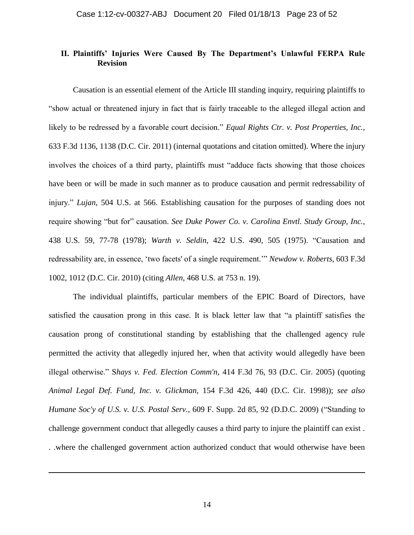## **II. Plaintiffs' Injuries Were Caused By The Department's Unlawful FERPA Rule Revision**

Causation is an essential element of the Article III standing inquiry, requiring plaintiffs to "show actual or threatened injury in fact that is fairly traceable to the alleged illegal action and likely to be redressed by a favorable court decision." *Equal Rights Ctr. v. Post Properties, Inc.*, 633 F.3d 1136, 1138 (D.C. Cir. 2011) (internal quotations and citation omitted). Where the injury involves the choices of a third party, plaintiffs must "adduce facts showing that those choices have been or will be made in such manner as to produce causation and permit redressability of injury." *Lujan*, 504 U.S. at 566. Establishing causation for the purposes of standing does not require showing "but for" causation. *See Duke Power Co. v. Carolina Envtl. Study Group, Inc.*, 438 U.S. 59, 77-78 (1978); *Warth v. Seldin*, 422 U.S. 490, 505 (1975). "Causation and redressability are, in essence, 'two facets' of a single requirement.'" *Newdow v. Roberts*, 603 F.3d 1002, 1012 (D.C. Cir. 2010) (citing *Allen*, 468 U.S. at 753 n. 19).

The individual plaintiffs, particular members of the EPIC Board of Directors, have satisfied the causation prong in this case. It is black letter law that "a plaintiff satisfies the causation prong of constitutional standing by establishing that the challenged agency rule permitted the activity that allegedly injured her, when that activity would allegedly have been illegal otherwise." S*hays v. Fed. Election Comm'n*, 414 F.3d 76, 93 (D.C. Cir. 2005) (quoting *Animal Legal Def. Fund, Inc. v. Glickman*, 154 F.3d 426, 440 (D.C. Cir. 1998)); *see also Humane Soc'y of U.S. v. U.S. Postal Serv.*, 609 F. Supp. 2d 85, 92 (D.D.C. 2009) ("Standing to challenge government conduct that allegedly causes a third party to injure the plaintiff can exist . . .where the challenged government action authorized conduct that would otherwise have been

 $\overline{a}$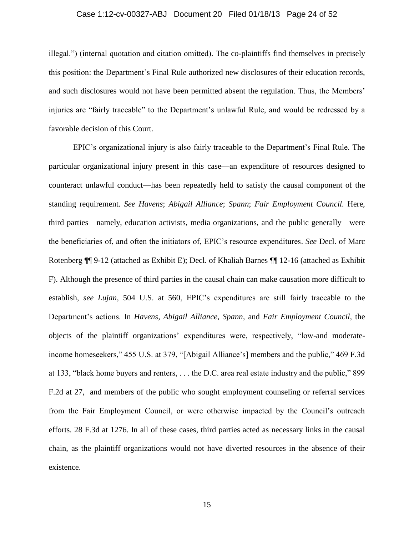### Case 1:12-cv-00327-ABJ Document 20 Filed 01/18/13 Page 24 of 52

illegal.") (internal quotation and citation omitted). The co-plaintiffs find themselves in precisely this position: the Department's Final Rule authorized new disclosures of their education records, and such disclosures would not have been permitted absent the regulation. Thus, the Members' injuries are "fairly traceable" to the Department's unlawful Rule, and would be redressed by a favorable decision of this Court.

EPIC's organizational injury is also fairly traceable to the Department's Final Rule. The particular organizational injury present in this case—an expenditure of resources designed to counteract unlawful conduct—has been repeatedly held to satisfy the causal component of the standing requirement. *See Havens*; *Abigail Alliance*; *Spann*; *Fair Employment Council.* Here, third parties—namely, education activists, media organizations, and the public generally—were the beneficiaries of, and often the initiators of, EPIC's resource expenditures. *See* Decl. of Marc Rotenberg ¶¶ 9-12 (attached as Exhibit E); Decl. of Khaliah Barnes ¶¶ 12-16 (attached as Exhibit F). Although the presence of third parties in the causal chain can make causation more difficult to establish, *see Lujan*, 504 U.S. at 560, EPIC's expenditures are still fairly traceable to the Department's actions. In *Havens, Abigail Alliance, Spann,* and *Fair Employment Council*, the objects of the plaintiff organizations' expenditures were, respectively, "low-and moderateincome homeseekers," 455 U.S. at 379, "[Abigail Alliance's] members and the public," 469 F.3d at 133, "black home buyers and renters, . . . the D.C. area real estate industry and the public," 899 F.2d at 27, and members of the public who sought employment counseling or referral services from the Fair Employment Council, or were otherwise impacted by the Council's outreach efforts. 28 F.3d at 1276. In all of these cases, third parties acted as necessary links in the causal chain, as the plaintiff organizations would not have diverted resources in the absence of their existence.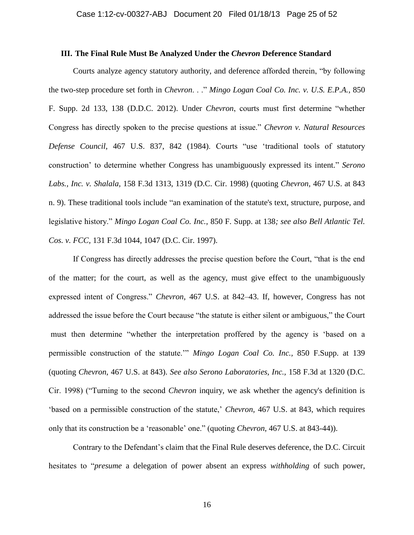#### **III. The Final Rule Must Be Analyzed Under the** *Chevron* **Deference Standard**

Courts analyze agency statutory authority, and deference afforded therein, "by following the two-step procedure set forth in *Chevron*. . ." *Mingo Logan Coal Co. Inc. v. U.S. E.P.A.*, 850 F. Supp. 2d 133, 138 (D.D.C. 2012). Under *Chevron*, courts must first determine "whether Congress has directly spoken to the precise questions at issue." *Chevron v. Natural Resources Defense Council,* 467 U.S. 837, 842 (1984). Courts "use 'traditional tools of statutory construction' to determine whether Congress has unambiguously expressed its intent." *Serono Labs., Inc. v. Shalala,* 158 F.3d 1313, 1319 (D.C. Cir. 1998) (quoting *Chevron,* 467 U.S. at 843 n. 9). These traditional tools include "an examination of the statute's text, structure, purpose, and legislative history." *Mingo Logan Coal Co. Inc.*, 850 F. Supp. at 138*; see also Bell Atlantic Tel. Cos. v. FCC,* 131 F.3d 1044, 1047 (D.C. Cir. 1997).

If Congress has directly addresses the precise question before the Court, "that is the end of the matter; for the court, as well as the agency, must give effect to the unambiguously expressed intent of Congress." *Chevron,* 467 U.S. at 842–43. If, however, Congress has not addressed the issue before the Court because "the statute is either silent or ambiguous," the Court must then determine "whether the interpretation proffered by the agency is 'based on a permissible construction of the statute.'" *Mingo Logan Coal Co. Inc.,* 850 F.Supp. at 139 (quoting *Chevron*, 467 U.S. at 843). *See also Serono Laboratories, Inc.,* 158 F.3d at 1320 (D.C. Cir. 1998) ("Turning to the second *Chevron* inquiry, we ask whether the agency's definition is 'based on a permissible construction of the statute,' *Chevron,* 467 U.S. at 843, which requires only that its construction be a 'reasonable' one." (quoting *Chevron*, 467 U.S. at 843-44)).

Contrary to the Defendant's claim that the Final Rule deserves deference, the D.C. Circuit hesitates to "*presume* a delegation of power absent an express *withholding* of such power,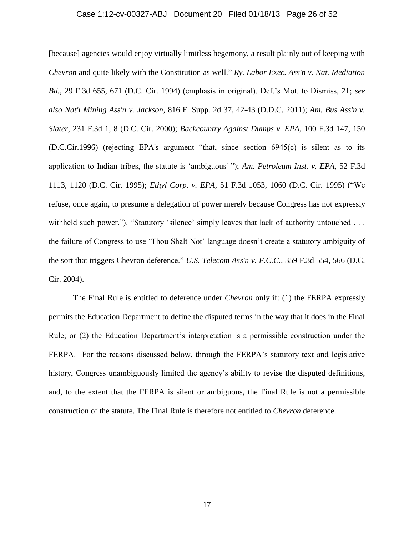## Case 1:12-cv-00327-ABJ Document 20 Filed 01/18/13 Page 26 of 52

[because] agencies would enjoy virtually limitless hegemony, a result plainly out of keeping with *Chevron* and quite likely with the Constitution as well." *Ry. Labor Exec. Ass'n v. Nat. Mediation Bd.,* 29 F.3d 655, 671 (D.C. Cir. 1994) (emphasis in original). Def.'s Mot. to Dismiss, 21; *see also Nat'l Mining Ass'n v. Jackson*, 816 F. Supp. 2d 37, 42-43 (D.D.C. 2011); *Am. Bus Ass'n v. Slater*, 231 F.3d 1, 8 (D.C. Cir. 2000); *Backcountry Against Dumps v. EPA,* 100 F.3d 147, 150 (D.C.Cir.1996) (rejecting EPA's argument "that, since section 6945(c) is silent as to its application to Indian tribes, the statute is 'ambiguous' "); *Am. Petroleum Inst. v. EPA,* 52 F.3d 1113, 1120 (D.C. Cir. 1995); *Ethyl Corp. v. EPA,* 51 F.3d 1053, 1060 (D.C. Cir. 1995) ("We refuse, once again, to presume a delegation of power merely because Congress has not expressly withheld such power."). "Statutory 'silence' simply leaves that lack of authority untouched . . . the failure of Congress to use 'Thou Shalt Not' language doesn't create a statutory ambiguity of the sort that triggers Chevron deference." *U.S. Telecom Ass'n v. F.C.C.,* 359 F.3d 554, 566 (D.C. Cir. 2004).

The Final Rule is entitled to deference under *Chevron* only if: (1) the FERPA expressly permits the Education Department to define the disputed terms in the way that it does in the Final Rule; or (2) the Education Department's interpretation is a permissible construction under the FERPA. For the reasons discussed below, through the FERPA's statutory text and legislative history, Congress unambiguously limited the agency's ability to revise the disputed definitions, and, to the extent that the FERPA is silent or ambiguous, the Final Rule is not a permissible construction of the statute. The Final Rule is therefore not entitled to *Chevron* deference.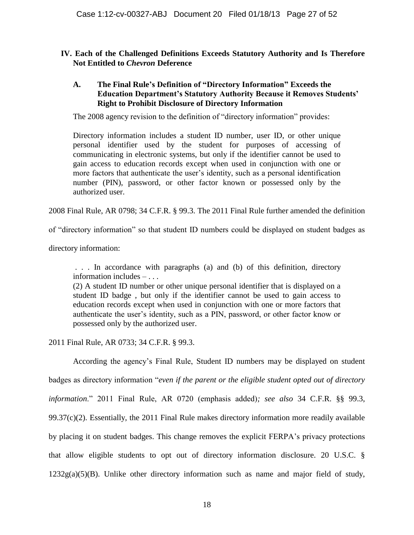## **IV. Each of the Challenged Definitions Exceeds Statutory Authority and Is Therefore Not Entitled to** *Chevron* **Deference**

## **A. The Final Rule's Definition of "Directory Information" Exceeds the Education Department's Statutory Authority Because it Removes Students' Right to Prohibit Disclosure of Directory Information**

The 2008 agency revision to the definition of "directory information" provides:

Directory information includes a student ID number, user ID, or other unique personal identifier used by the student for purposes of accessing of communicating in electronic systems, but only if the identifier cannot be used to gain access to education records except when used in conjunction with one or more factors that authenticate the user's identity, such as a personal identification number (PIN), password, or other factor known or possessed only by the authorized user.

2008 Final Rule, AR 0798; 34 C.F.R. § 99.3. The 2011 Final Rule further amended the definition

of "directory information" so that student ID numbers could be displayed on student badges as

directory information:

. . . In accordance with paragraphs (a) and (b) of this definition, directory information includes – . . .

(2) A student ID number or other unique personal identifier that is displayed on a student ID badge , but only if the identifier cannot be used to gain access to education records except when used in conjunction with one or more factors that authenticate the user's identity, such as a PIN, password, or other factor know or possessed only by the authorized user.

2011 Final Rule, AR 0733; 34 C.F.R. § 99.3.

According the agency's Final Rule, Student ID numbers may be displayed on student badges as directory information "*even if the parent or the eligible student opted out of directory information*." 2011 Final Rule, AR 0720 (emphasis added)*; see also* 34 C.F.R. §§ 99.3, 99.37(c)(2). Essentially, the 2011 Final Rule makes directory information more readily available by placing it on student badges. This change removes the explicit FERPA's privacy protections that allow eligible students to opt out of directory information disclosure. 20 U.S.C. §  $1232g(a)(5)(B)$ . Unlike other directory information such as name and major field of study,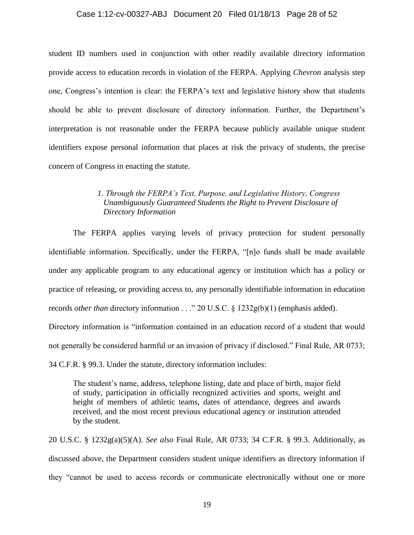### Case 1:12-cv-00327-ABJ Document 20 Filed 01/18/13 Page 28 of 52

student ID numbers used in conjunction with other readily available directory information provide access to education records in violation of the FERPA. Applying *Chevron* analysis step one, Congress's intention is clear: the FERPA's text and legislative history show that students should be able to prevent disclosure of directory information. Further, the Department's interpretation is not reasonable under the FERPA because publicly available unique student identifiers expose personal information that places at risk the privacy of students, the precise concern of Congress in enacting the statute.

## *1. Through the FERPA's Text, Purpose, and Legislative History, Congress Unambiguously Guaranteed Students the Right to Prevent Disclosure of Directory Information*

The FERPA applies varying levels of privacy protection for student personally identifiable information. Specifically, under the FERPA, "[n]o funds shall be made available under any applicable program to any educational agency or institution which has a policy or practice of releasing, or providing access to, any personally identifiable information in education records *other than* directory information . . ." 20 U.S.C. § 1232g(b)(1) (emphasis added).

Directory information is "information contained in an education record of a student that would not generally be considered harmful or an invasion of privacy if disclosed." Final Rule, AR 0733;

34 C.F.R. § 99.3. Under the statute, directory information includes:

The student's name, address, telephone listing, date and place of birth, major field of study, participation in officially recognized activities and sports, weight and height of members of athletic teams, dates of attendance, degrees and awards received, and the most recent previous educational agency or institution attended by the student.

20 U.S.C. § 1232g(a)(5)(A). *See also* Final Rule, AR 0733; 34 C.F.R. § 99.3. Additionally, as discussed above, the Department considers student unique identifiers as directory information if they "cannot be used to access records or communicate electronically without one or more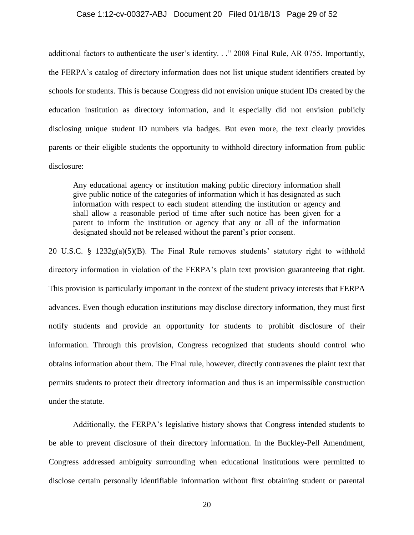#### Case 1:12-cv-00327-ABJ Document 20 Filed 01/18/13 Page 29 of 52

additional factors to authenticate the user's identity. . ." 2008 Final Rule, AR 0755. Importantly, the FERPA's catalog of directory information does not list unique student identifiers created by schools for students. This is because Congress did not envision unique student IDs created by the education institution as directory information, and it especially did not envision publicly disclosing unique student ID numbers via badges. But even more, the text clearly provides parents or their eligible students the opportunity to withhold directory information from public disclosure:

Any educational agency or institution making public directory information shall give public notice of the categories of information which it has designated as such information with respect to each student attending the institution or agency and shall allow a reasonable period of time after such notice has been given for a parent to inform the institution or agency that any or all of the information designated should not be released without the parent's prior consent.

20 U.S.C. § 1232g(a)(5)(B). The Final Rule removes students' statutory right to withhold directory information in violation of the FERPA's plain text provision guaranteeing that right. This provision is particularly important in the context of the student privacy interests that FERPA advances. Even though education institutions may disclose directory information, they must first notify students and provide an opportunity for students to prohibit disclosure of their information. Through this provision, Congress recognized that students should control who obtains information about them. The Final rule, however, directly contravenes the plaint text that permits students to protect their directory information and thus is an impermissible construction under the statute.

Additionally, the FERPA's legislative history shows that Congress intended students to be able to prevent disclosure of their directory information. In the Buckley-Pell Amendment, Congress addressed ambiguity surrounding when educational institutions were permitted to disclose certain personally identifiable information without first obtaining student or parental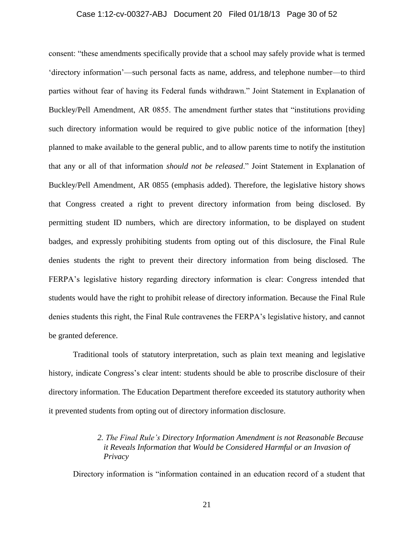#### Case 1:12-cv-00327-ABJ Document 20 Filed 01/18/13 Page 30 of 52

consent: "these amendments specifically provide that a school may safely provide what is termed 'directory information'—such personal facts as name, address, and telephone number—to third parties without fear of having its Federal funds withdrawn." Joint Statement in Explanation of Buckley/Pell Amendment, AR 0855. The amendment further states that "institutions providing such directory information would be required to give public notice of the information [they] planned to make available to the general public, and to allow parents time to notify the institution that any or all of that information *should not be released*." Joint Statement in Explanation of Buckley/Pell Amendment, AR 0855 (emphasis added). Therefore, the legislative history shows that Congress created a right to prevent directory information from being disclosed. By permitting student ID numbers, which are directory information, to be displayed on student badges, and expressly prohibiting students from opting out of this disclosure, the Final Rule denies students the right to prevent their directory information from being disclosed. The FERPA's legislative history regarding directory information is clear: Congress intended that students would have the right to prohibit release of directory information. Because the Final Rule denies students this right, the Final Rule contravenes the FERPA's legislative history, and cannot be granted deference.

Traditional tools of statutory interpretation, such as plain text meaning and legislative history, indicate Congress's clear intent: students should be able to proscribe disclosure of their directory information. The Education Department therefore exceeded its statutory authority when it prevented students from opting out of directory information disclosure.

### *2. The Final Rule's Directory Information Amendment is not Reasonable Because it Reveals Information that Would be Considered Harmful or an Invasion of Privacy*

Directory information is "information contained in an education record of a student that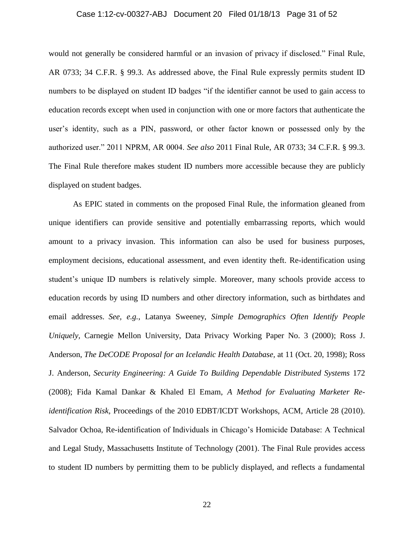### Case 1:12-cv-00327-ABJ Document 20 Filed 01/18/13 Page 31 of 52

would not generally be considered harmful or an invasion of privacy if disclosed." Final Rule, AR 0733; 34 C.F.R. § 99.3. As addressed above, the Final Rule expressly permits student ID numbers to be displayed on student ID badges "if the identifier cannot be used to gain access to education records except when used in conjunction with one or more factors that authenticate the user's identity, such as a PIN, password, or other factor known or possessed only by the authorized user." 2011 NPRM, AR 0004. *See also* 2011 Final Rule, AR 0733; 34 C.F.R. § 99.3. The Final Rule therefore makes student ID numbers more accessible because they are publicly displayed on student badges.

As EPIC stated in comments on the proposed Final Rule, the information gleaned from unique identifiers can provide sensitive and potentially embarrassing reports, which would amount to a privacy invasion. This information can also be used for business purposes, employment decisions, educational assessment, and even identity theft. Re-identification using student's unique ID numbers is relatively simple. Moreover, many schools provide access to education records by using ID numbers and other directory information, such as birthdates and email addresses. *See, e.g.*, Latanya Sweeney, *Simple Demographics Often Identify People Uniquely,* Carnegie Mellon University, Data Privacy Working Paper No. 3 (2000); Ross J. Anderson, *The DeCODE Proposal for an Icelandic Health Database,* at 11 (Oct. 20, 1998); Ross J. Anderson, *Security Engineering: A Guide To Building Dependable Distributed Systems* 172 (2008); Fida Kamal Dankar & Khaled El Emam, *A Method for Evaluating Marketer Reidentification Risk,* Proceedings of the 2010 EDBT/ICDT Workshops, ACM, Article 28 (2010). Salvador Ochoa, Re-identification of Individuals in Chicago's Homicide Database: A Technical and Legal Study, Massachusetts Institute of Technology (2001). The Final Rule provides access to student ID numbers by permitting them to be publicly displayed, and reflects a fundamental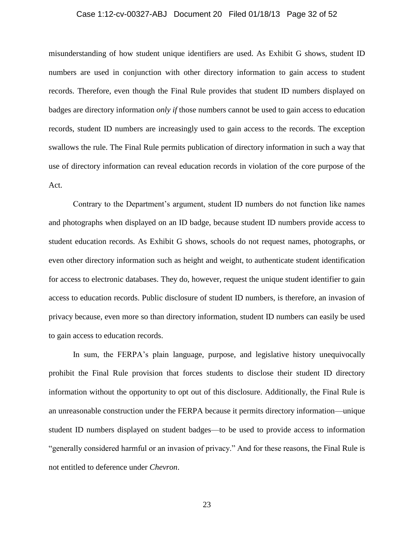## Case 1:12-cv-00327-ABJ Document 20 Filed 01/18/13 Page 32 of 52

misunderstanding of how student unique identifiers are used. As Exhibit G shows, student ID numbers are used in conjunction with other directory information to gain access to student records. Therefore, even though the Final Rule provides that student ID numbers displayed on badges are directory information *only if* those numbers cannot be used to gain access to education records, student ID numbers are increasingly used to gain access to the records. The exception swallows the rule. The Final Rule permits publication of directory information in such a way that use of directory information can reveal education records in violation of the core purpose of the Act.

Contrary to the Department's argument, student ID numbers do not function like names and photographs when displayed on an ID badge, because student ID numbers provide access to student education records. As Exhibit G shows, schools do not request names, photographs, or even other directory information such as height and weight, to authenticate student identification for access to electronic databases. They do, however, request the unique student identifier to gain access to education records. Public disclosure of student ID numbers, is therefore, an invasion of privacy because, even more so than directory information, student ID numbers can easily be used to gain access to education records.

In sum, the FERPA's plain language, purpose, and legislative history unequivocally prohibit the Final Rule provision that forces students to disclose their student ID directory information without the opportunity to opt out of this disclosure. Additionally, the Final Rule is an unreasonable construction under the FERPA because it permits directory information—unique student ID numbers displayed on student badges—to be used to provide access to information "generally considered harmful or an invasion of privacy." And for these reasons, the Final Rule is not entitled to deference under *Chevron*.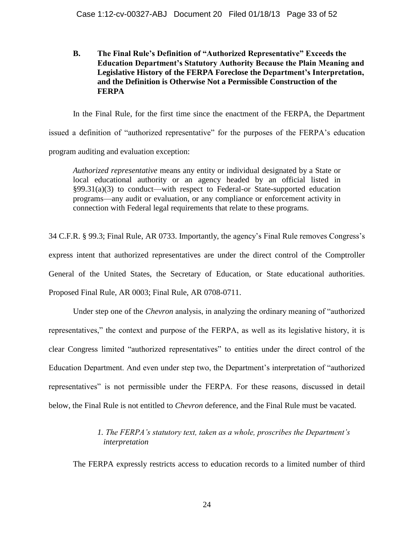**B. The Final Rule's Definition of "Authorized Representative" Exceeds the Education Department's Statutory Authority Because the Plain Meaning and Legislative History of the FERPA Foreclose the Department's Interpretation, and the Definition is Otherwise Not a Permissible Construction of the FERPA**

In the Final Rule, for the first time since the enactment of the FERPA, the Department issued a definition of "authorized representative" for the purposes of the FERPA's education program auditing and evaluation exception:

*Authorized representative* means any entity or individual designated by a State or local educational authority or an agency headed by an official listed in §99.31(a)(3) to conduct—with respect to Federal-or State-supported education programs—any audit or evaluation, or any compliance or enforcement activity in connection with Federal legal requirements that relate to these programs.

34 C.F.R. § 99.3; Final Rule, AR 0733. Importantly, the agency's Final Rule removes Congress's express intent that authorized representatives are under the direct control of the Comptroller General of the United States, the Secretary of Education, or State educational authorities. Proposed Final Rule, AR 0003; Final Rule, AR 0708-0711.

Under step one of the *Chevron* analysis, in analyzing the ordinary meaning of "authorized representatives," the context and purpose of the FERPA, as well as its legislative history, it is clear Congress limited "authorized representatives" to entities under the direct control of the Education Department. And even under step two, the Department's interpretation of "authorized representatives" is not permissible under the FERPA. For these reasons, discussed in detail below, the Final Rule is not entitled to *Chevron* deference, and the Final Rule must be vacated.

## *1. The FERPA's statutory text, taken as a whole, proscribes the Department's interpretation*

The FERPA expressly restricts access to education records to a limited number of third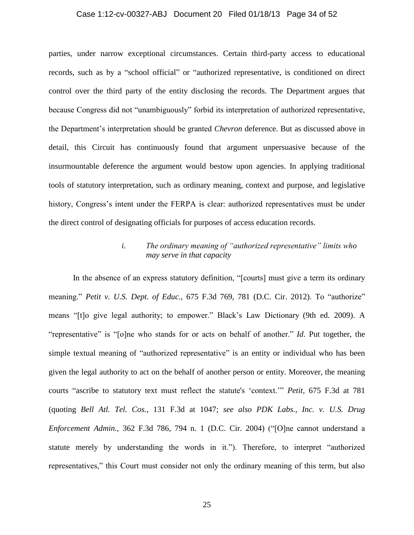### Case 1:12-cv-00327-ABJ Document 20 Filed 01/18/13 Page 34 of 52

parties, under narrow exceptional circumstances. Certain third-party access to educational records, such as by a "school official" or "authorized representative, is conditioned on direct control over the third party of the entity disclosing the records. The Department argues that because Congress did not "unambiguously" forbid its interpretation of authorized representative, the Department's interpretation should be granted *Chevron* deference. But as discussed above in detail, this Circuit has continuously found that argument unpersuasive because of the insurmountable deference the argument would bestow upon agencies. In applying traditional tools of statutory interpretation, such as ordinary meaning, context and purpose, and legislative history, Congress's intent under the FERPA is clear: authorized representatives must be under the direct control of designating officials for purposes of access education records.

## *i. The ordinary meaning of "authorized representative" limits who may serve in that capacity*

In the absence of an express statutory definition, "[courts] must give a term its ordinary meaning." *Petit v. U.S. Dept. of Educ.,* 675 F.3d 769, 781 (D.C. Cir. 2012). To "authorize" means "[t]o give legal authority; to empower." Black's Law Dictionary (9th ed. 2009). A "representative" is "[o]ne who stands for or acts on behalf of another." *Id*. Put together, the simple textual meaning of "authorized representative" is an entity or individual who has been given the legal authority to act on the behalf of another person or entity. Moreover, the meaning courts "ascribe to statutory text must reflect the statute's 'context.'" *Petit,* 675 F.3d at 781 (quoting *Bell Atl. Tel. Cos.,* 131 F.3d at 1047; *see also PDK Labs., Inc. v. U.S. Drug Enforcement Admin.,* 362 F.3d 786, 794 n. 1 (D.C. Cir. 2004) ("[O]ne cannot understand a statute merely by understanding the words in it."). Therefore, to interpret "authorized representatives," this Court must consider not only the ordinary meaning of this term, but also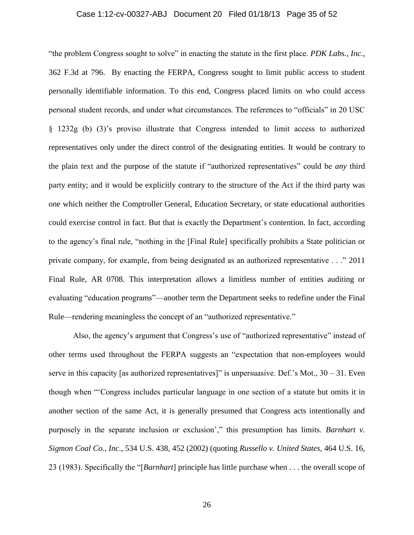### Case 1:12-cv-00327-ABJ Document 20 Filed 01/18/13 Page 35 of 52

"the problem Congress sought to solve" in enacting the statute in the first place. *PDK Labs., Inc.,* 362 F.3d at 796. By enacting the FERPA, Congress sought to limit public access to student personally identifiable information. To this end, Congress placed limits on who could access personal student records, and under what circumstances. The references to "officials" in 20 USC § 1232g (b) (3)'s proviso illustrate that Congress intended to limit access to authorized representatives only under the direct control of the designating entities. It would be contrary to the plain text and the purpose of the statute if "authorized representatives" could be *any* third party entity; and it would be explicitly contrary to the structure of the Act if the third party was one which neither the Comptroller General, Education Secretary, or state educational authorities could exercise control in fact. But that is exactly the Department's contention. In fact, according to the agency's final rule, "nothing in the [Final Rule] specifically prohibits a State politician or private company, for example, from being designated as an authorized representative . . ." 2011 Final Rule, AR 0708. This interpretation allows a limitless number of entities auditing or evaluating "education programs"—another term the Department seeks to redefine under the Final Rule—rendering meaningless the concept of an "authorized representative."

Also, the agency's argument that Congress's use of "authorized representative" instead of other terms used throughout the FERPA suggests an "expectation that non-employees would serve in this capacity [as authorized representatives]" is unpersuasive. Def.'s Mot.,  $30 - 31$ . Even though when "'Congress includes particular language in one section of a statute but omits it in another section of the same Act, it is generally presumed that Congress acts intentionally and purposely in the separate inclusion or exclusion'," this presumption has limits. *Barnhart v. Sigmon Coal Co., Inc*., 534 U.S. 438, 452 (2002) (quoting *Russello v. United States,* 464 U.S. 16, 23 (1983). Specifically the "[*Barnhart*] principle has little purchase when . . . the overall scope of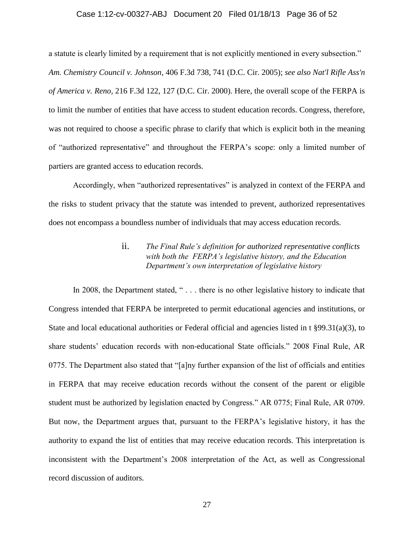#### Case 1:12-cv-00327-ABJ Document 20 Filed 01/18/13 Page 36 of 52

a statute is clearly limited by a requirement that is not explicitly mentioned in every subsection." *Am. Chemistry Council v. Johnson*, 406 F.3d 738, 741 (D.C. Cir. 2005); *see also Nat'l Rifle Ass'n of America v. Reno,* 216 F.3d 122, 127 (D.C. Cir. 2000). Here, the overall scope of the FERPA is to limit the number of entities that have access to student education records. Congress, therefore, was not required to choose a specific phrase to clarify that which is explicit both in the meaning of "authorized representative" and throughout the FERPA's scope: only a limited number of partiers are granted access to education records.

Accordingly, when "authorized representatives" is analyzed in context of the FERPA and the risks to student privacy that the statute was intended to prevent, authorized representatives does not encompass a boundless number of individuals that may access education records.

## ii. *The Final Rule's definition for authorized representative conflicts with both the FERPA's legislative history, and the Education Department's own interpretation of legislative history*

In 2008, the Department stated, "... there is no other legislative history to indicate that Congress intended that FERPA be interpreted to permit educational agencies and institutions, or State and local educational authorities or Federal official and agencies listed in t §99.31(a)(3), to share students' education records with non-educational State officials." 2008 Final Rule, AR 0775. The Department also stated that "[a]ny further expansion of the list of officials and entities in FERPA that may receive education records without the consent of the parent or eligible student must be authorized by legislation enacted by Congress." AR 0775; Final Rule, AR 0709. But now, the Department argues that, pursuant to the FERPA's legislative history, it has the authority to expand the list of entities that may receive education records. This interpretation is inconsistent with the Department's 2008 interpretation of the Act, as well as Congressional record discussion of auditors.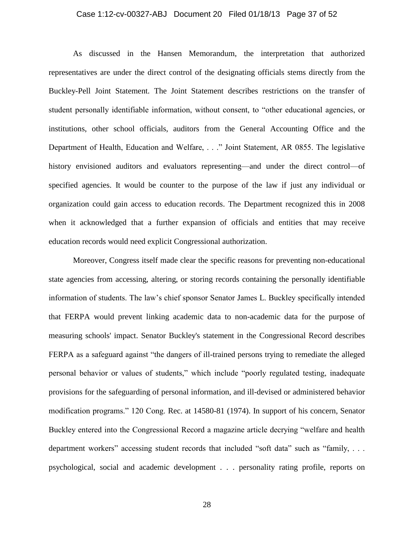### Case 1:12-cv-00327-ABJ Document 20 Filed 01/18/13 Page 37 of 52

As discussed in the Hansen Memorandum, the interpretation that authorized representatives are under the direct control of the designating officials stems directly from the Buckley-Pell Joint Statement. The Joint Statement describes restrictions on the transfer of student personally identifiable information, without consent, to "other educational agencies, or institutions, other school officials, auditors from the General Accounting Office and the Department of Health, Education and Welfare, . . ." Joint Statement, AR 0855. The legislative history envisioned auditors and evaluators representing—and under the direct control—of specified agencies. It would be counter to the purpose of the law if just any individual or organization could gain access to education records. The Department recognized this in 2008 when it acknowledged that a further expansion of officials and entities that may receive education records would need explicit Congressional authorization.

Moreover, Congress itself made clear the specific reasons for preventing non-educational state agencies from accessing, altering, or storing records containing the personally identifiable information of students. The law's chief sponsor Senator James L. Buckley specifically intended that FERPA would prevent linking academic data to non-academic data for the purpose of measuring schools' impact. Senator Buckley's statement in the Congressional Record describes FERPA as a safeguard against "the dangers of ill-trained persons trying to remediate the alleged personal behavior or values of students," which include "poorly regulated testing, inadequate provisions for the safeguarding of personal information, and ill-devised or administered behavior modification programs." 120 Cong. Rec. at 14580-81 (1974). In support of his concern, Senator Buckley entered into the Congressional Record a magazine article decrying "welfare and health department workers" accessing student records that included "soft data" such as "family, ... psychological, social and academic development . . . personality rating profile, reports on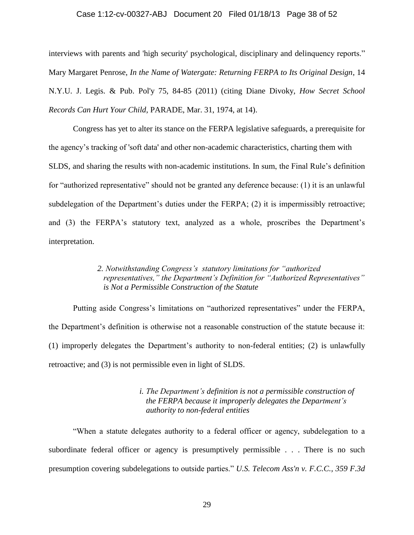#### Case 1:12-cv-00327-ABJ Document 20 Filed 01/18/13 Page 38 of 52

interviews with parents and 'high security' psychological, disciplinary and delinquency reports." Mary Margaret Penrose, *In the Name of Watergate: Returning FERPA to Its Original Design*, 14 N.Y.U. J. Legis. & Pub. Pol'y 75, 84-85 (2011) (citing Diane Divoky, *How Secret School Records Can Hurt Your Child*, PARADE, Mar. 31, 1974, at 14).

Congress has yet to alter its stance on the FERPA legislative safeguards, a prerequisite for the agency's tracking of 'soft data' and other non-academic characteristics, charting them with SLDS, and sharing the results with non-academic institutions. In sum, the Final Rule's definition for "authorized representative" should not be granted any deference because: (1) it is an unlawful subdelegation of the Department's duties under the FERPA; (2) it is impermissibly retroactive; and (3) the FERPA's statutory text, analyzed as a whole, proscribes the Department's interpretation.

### *2. Notwithstanding Congress's statutory limitations for "authorized representatives," the Department's Definition for "Authorized Representatives" is Not a Permissible Construction of the Statute*

Putting aside Congress's limitations on "authorized representatives" under the FERPA, the Department's definition is otherwise not a reasonable construction of the statute because it: (1) improperly delegates the Department's authority to non-federal entities; (2) is unlawfully retroactive; and (3) is not permissible even in light of SLDS.

### *i. The Department's definition is not a permissible construction of the FERPA because it improperly delegates the Department's authority to non-federal entities*

"When a statute delegates authority to a federal officer or agency, subdelegation to a subordinate federal officer or agency is presumptively permissible . . . There is no such presumption covering subdelegations to outside parties." *U.S. Telecom Ass'n v. F.C.C., 359 F.3d*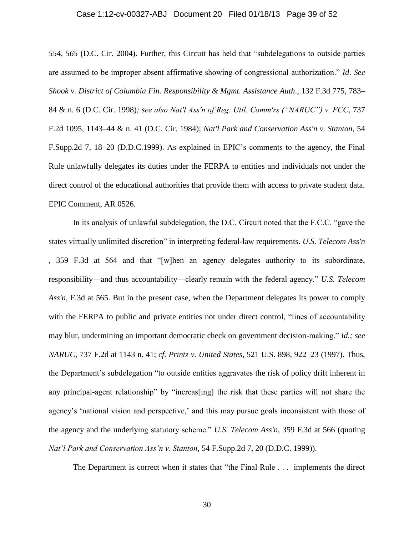## Case 1:12-cv-00327-ABJ Document 20 Filed 01/18/13 Page 39 of 52

*554, 565* (D.C. Cir. 2004). Further, this Circuit has held that "subdelegations to outside parties are assumed to be improper absent affirmative showing of congressional authorization." *Id*. *See Shook v. District of Columbia Fin. Responsibility & Mgmt. Assistance Auth*., 132 F.3d 775, 783– 84 & n. 6 (D.C. Cir. 1998)*; see also Nat'l Ass'n of Reg. Util. Comm'rs ("NARUC") v. FCC*, 737 F.2d 1095, 1143–44 & n. 41 (D.C. Cir. 1984); *Nat'l Park and Conservation Ass'n v. Stanton*, 54 F.Supp.2d 7, 18–20 (D.D.C.1999). As explained in EPIC's comments to the agency, the Final Rule unlawfully delegates its duties under the FERPA to entities and individuals not under the direct control of the educational authorities that provide them with access to private student data. EPIC Comment, AR 0526.

In its analysis of unlawful subdelegation, the D.C. Circuit noted that the F.C.C. "gave the states virtually unlimited discretion" in interpreting federal-law requirements. *U.S. Telecom Ass'n*  , 359 F.3d at 564 and that "[w]hen an agency delegates authority to its subordinate, responsibility—and thus accountability—clearly remain with the federal agency." *U.S. Telecom Ass'n,* F.3d at 565. But in the present case, when the Department delegates its power to comply with the FERPA to public and private entities not under direct control, "lines of accountability may blur, undermining an important democratic check on government decision-making." *Id.; see NARUC*, 737 F.2d at 1143 n. 41; *cf. Printz v. United States*, 521 U.S. 898, 922–23 (1997). Thus, the Department's subdelegation "to outside entities aggravates the risk of policy drift inherent in any principal-agent relationship" by "increas[ing] the risk that these parties will not share the agency's 'national vision and perspective,' and this may pursue goals inconsistent with those of the agency and the underlying statutory scheme." *U.S. Telecom Ass'n*, 359 F.3d at 566 (quoting *Nat'l Park and Conservation Ass'n v. Stanton*, 54 F.Supp.2d 7, 20 (D.D.C. 1999)).

The Department is correct when it states that "the Final Rule . . . implements the direct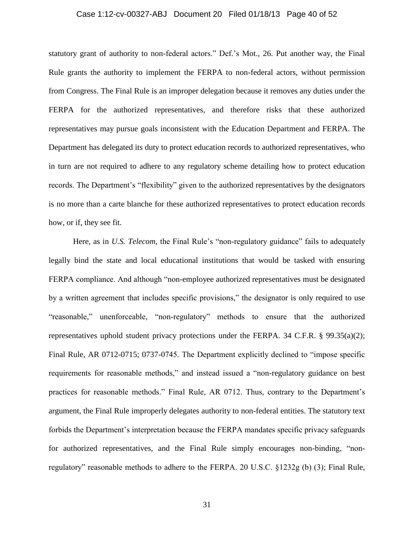### Case 1:12-cv-00327-ABJ Document 20 Filed 01/18/13 Page 40 of 52

statutory grant of authority to non-federal actors." Def.'s Mot., 26. Put another way, the Final Rule grants the authority to implement the FERPA to non-federal actors, without permission from Congress. The Final Rule is an improper delegation because it removes any duties under the FERPA for the authorized representatives, and therefore risks that these authorized representatives may pursue goals inconsistent with the Education Department and FERPA. The Department has delegated its duty to protect education records to authorized representatives, who in turn are not required to adhere to any regulatory scheme detailing how to protect education records. The Department's "flexibility" given to the authorized representatives by the designators is no more than a carte blanche for these authorized representatives to protect education records how, or if, they see fit.

Here, as in *U.S. Telecom*, the Final Rule's "non-regulatory guidance" fails to adequately legally bind the state and local educational institutions that would be tasked with ensuring FERPA compliance. And although "non-employee authorized representatives must be designated by a written agreement that includes specific provisions," the designator is only required to use "reasonable," unenforceable, "non-regulatory" methods to ensure that the authorized representatives uphold student privacy protections under the FERPA. 34 C.F.R. § 99.35(a)(2); Final Rule, AR 0712-0715; 0737-0745. The Department explicitly declined to "impose specific requirements for reasonable methods," and instead issued a "non-regulatory guidance on best practices for reasonable methods." Final Rule, AR 0712. Thus, contrary to the Department's argument, the Final Rule improperly delegates authority to non-federal entities. The statutory text forbids the Department's interpretation because the FERPA mandates specific privacy safeguards for authorized representatives, and the Final Rule simply encourages non-binding, "nonregulatory" reasonable methods to adhere to the FERPA. 20 U.S.C. §1232g (b) (3); Final Rule,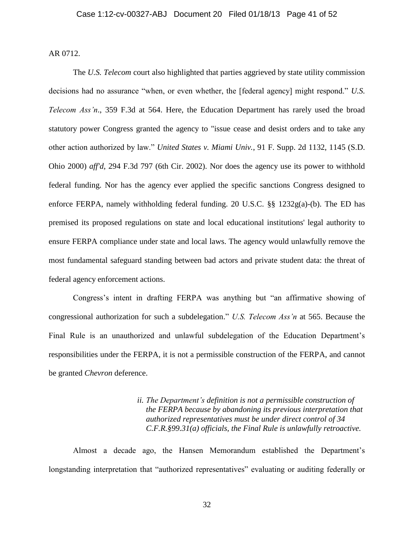AR 0712.

The *U.S. Telecom* court also highlighted that parties aggrieved by state utility commission decisions had no assurance "when, or even whether, the [federal agency] might respond." *U.S. Telecom Ass'n*., 359 F.3d at 564. Here, the Education Department has rarely used the broad statutory power Congress granted the agency to "issue cease and desist orders and to take any other action authorized by law." *United States v. Miami Univ.*, 91 F. Supp. 2d 1132, 1145 (S.D. Ohio 2000) *aff'd*, 294 F.3d 797 (6th Cir. 2002). Nor does the agency use its power to withhold federal funding. Nor has the agency ever applied the specific sanctions Congress designed to enforce FERPA, namely withholding federal funding. 20 U.S.C. §§ 1232g(a)-(b). The ED has premised its proposed regulations on state and local educational institutions' legal authority to ensure FERPA compliance under state and local laws. The agency would unlawfully remove the most fundamental safeguard standing between bad actors and private student data: the threat of federal agency enforcement actions.

Congress's intent in drafting FERPA was anything but "an affirmative showing of congressional authorization for such a subdelegation." *U.S. Telecom Ass'n* at 565. Because the Final Rule is an unauthorized and unlawful subdelegation of the Education Department's responsibilities under the FERPA, it is not a permissible construction of the FERPA, and cannot be granted *Chevron* deference.

> *ii. The Department's definition is not a permissible construction of the FERPA because by abandoning its previous interpretation that authorized representatives must be under direct control of 34 C.F.R.§99.31(a) officials, the Final Rule is unlawfully retroactive.*

Almost a decade ago, the Hansen Memorandum established the Department's longstanding interpretation that "authorized representatives" evaluating or auditing federally or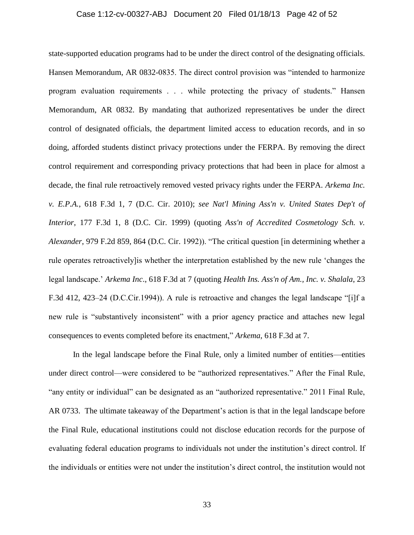### Case 1:12-cv-00327-ABJ Document 20 Filed 01/18/13 Page 42 of 52

state-supported education programs had to be under the direct control of the designating officials. Hansen Memorandum, AR 0832-0835. The direct control provision was "intended to harmonize program evaluation requirements . . . while protecting the privacy of students." Hansen Memorandum, AR 0832. By mandating that authorized representatives be under the direct control of designated officials, the department limited access to education records, and in so doing, afforded students distinct privacy protections under the FERPA. By removing the direct control requirement and corresponding privacy protections that had been in place for almost a decade, the final rule retroactively removed vested privacy rights under the FERPA. *Arkema Inc. v. E.P.A.*, 618 F.3d 1, 7 (D.C. Cir. 2010); *see Nat'l Mining Ass'n v. United States Dep't of Interior*, 177 F.3d 1, 8 (D.C. Cir. 1999) (quoting *Ass'n of Accredited Cosmetology Sch. v. Alexander*, 979 F.2d 859, 864 (D.C. Cir. 1992)). "The critical question [in determining whether a rule operates retroactively]is whether the interpretation established by the new rule 'changes the legal landscape.' *Arkema Inc*., 618 F.3d at 7 (quoting *Health Ins. Ass'n of Am., Inc. v. Shalala*, 23 F.3d 412, 423–24 (D.C.Cir.1994)). A rule is retroactive and changes the legal landscape "[i]f a new rule is "substantively inconsistent" with a prior agency practice and attaches new legal consequences to events completed before its enactment," *Arkema*, 618 F.3d at 7.

In the legal landscape before the Final Rule, only a limited number of entities—entities under direct control—were considered to be "authorized representatives." After the Final Rule, "any entity or individual" can be designated as an "authorized representative." 2011 Final Rule, AR 0733. The ultimate takeaway of the Department's action is that in the legal landscape before the Final Rule, educational institutions could not disclose education records for the purpose of evaluating federal education programs to individuals not under the institution's direct control. If the individuals or entities were not under the institution's direct control, the institution would not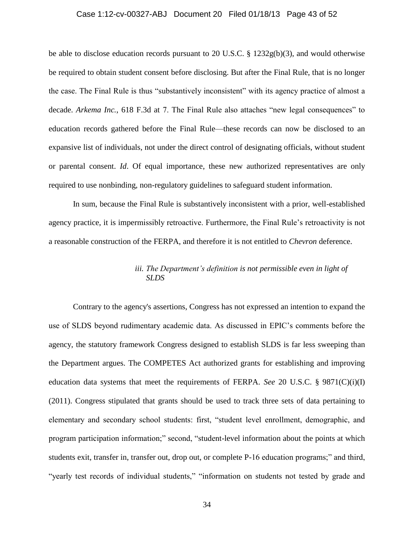#### Case 1:12-cv-00327-ABJ Document 20 Filed 01/18/13 Page 43 of 52

be able to disclose education records pursuant to 20 U.S.C. § 1232g(b)(3), and would otherwise be required to obtain student consent before disclosing. But after the Final Rule, that is no longer the case. The Final Rule is thus "substantively inconsistent" with its agency practice of almost a decade. *Arkema Inc.*, 618 F.3d at 7. The Final Rule also attaches "new legal consequences" to education records gathered before the Final Rule—these records can now be disclosed to an expansive list of individuals, not under the direct control of designating officials, without student or parental consent. *Id*. Of equal importance, these new authorized representatives are only required to use nonbinding, non-regulatory guidelines to safeguard student information.

In sum, because the Final Rule is substantively inconsistent with a prior, well-established agency practice, it is impermissibly retroactive. Furthermore, the Final Rule's retroactivity is not a reasonable construction of the FERPA, and therefore it is not entitled to *Chevron* deference.

## *iii. The Department's definition is not permissible even in light of SLDS*

Contrary to the agency's assertions, Congress has not expressed an intention to expand the use of SLDS beyond rudimentary academic data. As discussed in EPIC's comments before the agency, the statutory framework Congress designed to establish SLDS is far less sweeping than the Department argues. The COMPETES Act authorized grants for establishing and improving education data systems that meet the requirements of FERPA. *See* 20 U.S.C. § 9871(C)(i)(I) (2011). Congress stipulated that grants should be used to track three sets of data pertaining to elementary and secondary school students: first, "student level enrollment, demographic, and program participation information;" second, "student-level information about the points at which students exit, transfer in, transfer out, drop out, or complete P-16 education programs;" and third, "yearly test records of individual students," "information on students not tested by grade and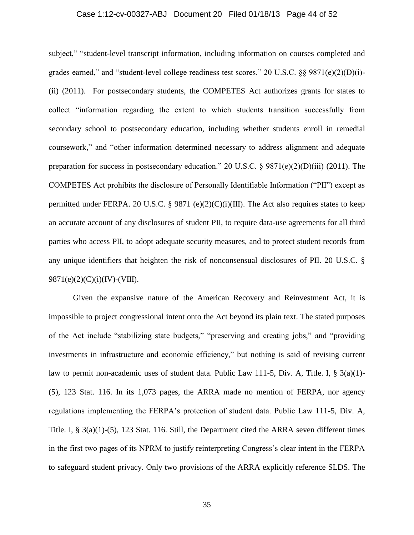### Case 1:12-cv-00327-ABJ Document 20 Filed 01/18/13 Page 44 of 52

subject," "student-level transcript information, including information on courses completed and grades earned," and "student-level college readiness test scores." 20 U.S.C. §§ 9871(e)(2)(D)(i)- (ii) (2011). For postsecondary students, the COMPETES Act authorizes grants for states to collect "information regarding the extent to which students transition successfully from secondary school to postsecondary education, including whether students enroll in remedial coursework," and "other information determined necessary to address alignment and adequate preparation for success in postsecondary education." 20 U.S.C.  $\S$  9871(e)(2)(D)(iii) (2011). The COMPETES Act prohibits the disclosure of Personally Identifiable Information ("PII") except as permitted under FERPA. 20 U.S.C. § 9871 (e)(2)(C)(i)(III). The Act also requires states to keep an accurate account of any disclosures of student PII, to require data-use agreements for all third parties who access PII, to adopt adequate security measures, and to protect student records from any unique identifiers that heighten the risk of nonconsensual disclosures of PII. 20 U.S.C. §  $9871(e)(2)(C)(i)(IV)-(VIII).$ 

Given the expansive nature of the American Recovery and Reinvestment Act, it is impossible to project congressional intent onto the Act beyond its plain text. The stated purposes of the Act include "stabilizing state budgets," "preserving and creating jobs," and "providing investments in infrastructure and economic efficiency," but nothing is said of revising current law to permit non-academic uses of student data. Public Law 111-5, Div. A, Title. I, § 3(a)(1)-(5), 123 Stat. 116. In its 1,073 pages, the ARRA made no mention of FERPA, nor agency regulations implementing the FERPA's protection of student data. Public Law 111-5, Div. A, Title. I, § 3(a)(1)-(5), 123 Stat. 116. Still, the Department cited the ARRA seven different times in the first two pages of its NPRM to justify reinterpreting Congress's clear intent in the FERPA to safeguard student privacy. Only two provisions of the ARRA explicitly reference SLDS. The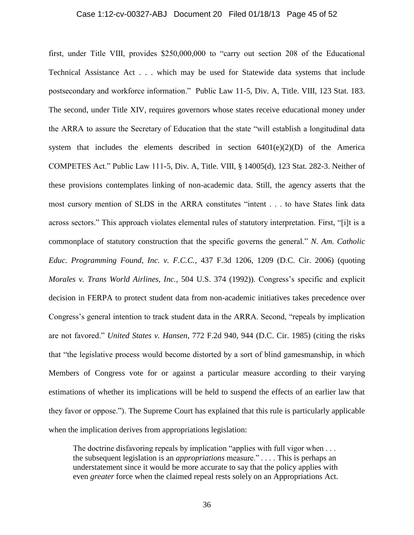#### Case 1:12-cv-00327-ABJ Document 20 Filed 01/18/13 Page 45 of 52

first, under Title VIII, provides \$250,000,000 to "carry out section 208 of the Educational Technical Assistance Act . . . which may be used for Statewide data systems that include postsecondary and workforce information." Public Law 11-5, Div. A, Title. VIII, 123 Stat. 183. The second, under Title XIV, requires governors whose states receive educational money under the ARRA to assure the Secretary of Education that the state "will establish a longitudinal data system that includes the elements described in section  $6401(e)(2)(D)$  of the America COMPETES Act." Public Law 111-5, Div. A, Title. VIII, § 14005(d), 123 Stat. 282-3. Neither of these provisions contemplates linking of non-academic data. Still, the agency asserts that the most cursory mention of SLDS in the ARRA constitutes "intent . . . to have States link data across sectors." This approach violates elemental rules of statutory interpretation. First, "[i]t is a commonplace of statutory construction that the specific governs the general." *N. Am. Catholic Educ. Programming Found, Inc. v. F.C.C.*, 437 F.3d 1206, 1209 (D.C. Cir. 2006) (quoting *Morales v. Trans World Airlines, Inc.,* 504 U.S. 374 (1992)). Congress's specific and explicit decision in FERPA to protect student data from non-academic initiatives takes precedence over Congress's general intention to track student data in the ARRA. Second, "repeals by implication are not favored." *United States v. Hansen*, 772 F.2d 940, 944 (D.C. Cir. 1985) (citing the risks that "the legislative process would become distorted by a sort of blind gamesmanship, in which Members of Congress vote for or against a particular measure according to their varying estimations of whether its implications will be held to suspend the effects of an earlier law that they favor or oppose."). The Supreme Court has explained that this rule is particularly applicable when the implication derives from appropriations legislation:

The doctrine disfavoring repeals by implication "applies with full vigor when . . . the subsequent legislation is an *appropriations* measure." *. . . .* This is perhaps an understatement since it would be more accurate to say that the policy applies with even *greater* force when the claimed repeal rests solely on an Appropriations Act.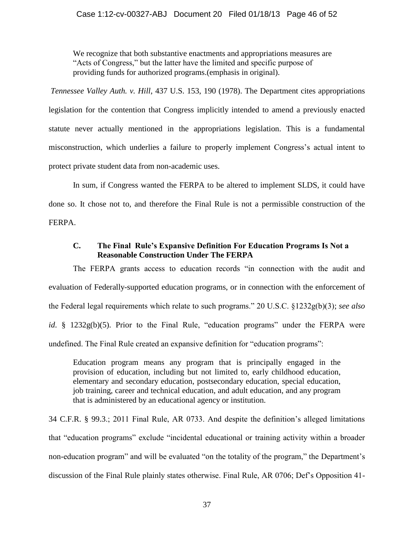### Case 1:12-cv-00327-ABJ Document 20 Filed 01/18/13 Page 46 of 52

We recognize that both substantive enactments and appropriations measures are "Acts of Congress," but the latter have the limited and specific purpose of providing funds for authorized programs.(emphasis in original).

*Tennessee Valley Auth. v. Hill*, 437 U.S. 153, 190 (1978). The Department cites appropriations legislation for the contention that Congress implicitly intended to amend a previously enacted statute never actually mentioned in the appropriations legislation. This is a fundamental misconstruction, which underlies a failure to properly implement Congress's actual intent to protect private student data from non-academic uses.

In sum, if Congress wanted the FERPA to be altered to implement SLDS, it could have done so. It chose not to, and therefore the Final Rule is not a permissible construction of the FERPA.

### **C. The Final Rule's Expansive Definition For Education Programs Is Not a Reasonable Construction Under The FERPA**

The FERPA grants access to education records "in connection with the audit and evaluation of Federally-supported education programs, or in connection with the enforcement of the Federal legal requirements which relate to such programs." 20 U.S.C. §1232g(b)(3); *see also id*. § 1232g(b)(5). Prior to the Final Rule, "education programs" under the FERPA were undefined. The Final Rule created an expansive definition for "education programs":

Education program means any program that is principally engaged in the provision of education, including but not limited to, early childhood education, elementary and secondary education, postsecondary education, special education, job training, career and technical education, and adult education, and any program that is administered by an educational agency or institution.

34 C.F.R. § 99.3.; 2011 Final Rule, AR 0733. And despite the definition's alleged limitations that "education programs" exclude "incidental educational or training activity within a broader non-education program" and will be evaluated "on the totality of the program," the Department's discussion of the Final Rule plainly states otherwise. Final Rule, AR 0706; Def's Opposition 41-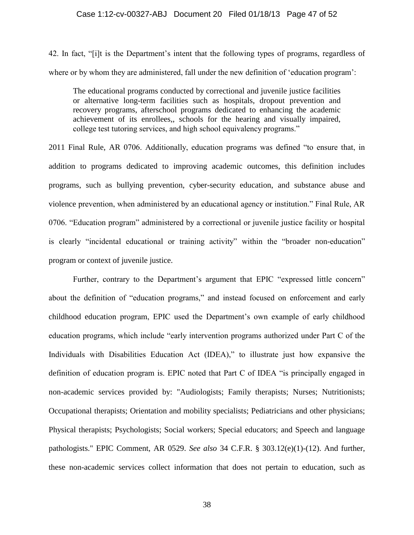#### Case 1:12-cv-00327-ABJ Document 20 Filed 01/18/13 Page 47 of 52

42. In fact, "[i]t is the Department's intent that the following types of programs, regardless of where or by whom they are administered, fall under the new definition of 'education program':

The educational programs conducted by correctional and juvenile justice facilities or alternative long-term facilities such as hospitals, dropout prevention and recovery programs, afterschool programs dedicated to enhancing the academic achievement of its enrollees,, schools for the hearing and visually impaired, college test tutoring services, and high school equivalency programs."

2011 Final Rule, AR 0706. Additionally, education programs was defined "to ensure that, in addition to programs dedicated to improving academic outcomes, this definition includes programs, such as bullying prevention, cyber-security education, and substance abuse and violence prevention, when administered by an educational agency or institution." Final Rule, AR 0706. "Education program" administered by a correctional or juvenile justice facility or hospital is clearly "incidental educational or training activity" within the "broader non-education" program or context of juvenile justice.

Further, contrary to the Department's argument that EPIC "expressed little concern" about the definition of "education programs," and instead focused on enforcement and early childhood education program, EPIC used the Department's own example of early childhood education programs, which include "early intervention programs authorized under Part C of the Individuals with Disabilities Education Act (IDEA)," to illustrate just how expansive the definition of education program is. EPIC noted that Part C of IDEA "is principally engaged in non-academic services provided by: "Audiologists; Family therapists; Nurses; Nutritionists; Occupational therapists; Orientation and mobility specialists; Pediatricians and other physicians; Physical therapists; Psychologists; Social workers; Special educators; and Speech and language pathologists." EPIC Comment, AR 0529. *See also* 34 C.F.R. § 303.12(e)(1)-(12). And further, these non-academic services collect information that does not pertain to education, such as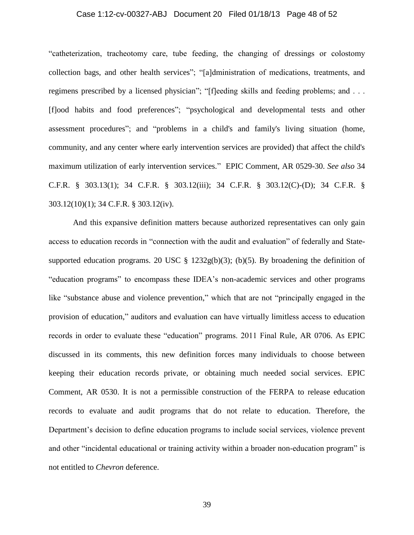### Case 1:12-cv-00327-ABJ Document 20 Filed 01/18/13 Page 48 of 52

"catheterization, tracheotomy care, tube feeding, the changing of dressings or colostomy collection bags, and other health services"; "[a]dministration of medications, treatments, and regimens prescribed by a licensed physician"; "[f]eeding skills and feeding problems; and . . . [f]ood habits and food preferences"; "psychological and developmental tests and other assessment procedures"; and "problems in a child's and family's living situation (home, community, and any center where early intervention services are provided) that affect the child's maximum utilization of early intervention services." EPIC Comment, AR 0529-30. *See also* 34 C.F.R. § 303.13(1); 34 C.F.R. § 303.12(iii); 34 C.F.R. § 303.12(C)-(D); 34 C.F.R. § 303.12(10)(1); 34 C.F.R. § 303.12(iv).

And this expansive definition matters because authorized representatives can only gain access to education records in "connection with the audit and evaluation" of federally and Statesupported education programs. 20 USC  $\S$  1232g(b)(3); (b)(5). By broadening the definition of "education programs" to encompass these IDEA's non-academic services and other programs like "substance abuse and violence prevention," which that are not "principally engaged in the provision of education," auditors and evaluation can have virtually limitless access to education records in order to evaluate these "education" programs. 2011 Final Rule, AR 0706. As EPIC discussed in its comments, this new definition forces many individuals to choose between keeping their education records private, or obtaining much needed social services. EPIC Comment, AR 0530. It is not a permissible construction of the FERPA to release education records to evaluate and audit programs that do not relate to education. Therefore, the Department's decision to define education programs to include social services, violence prevent and other "incidental educational or training activity within a broader non-education program" is not entitled to *Chevron* deference.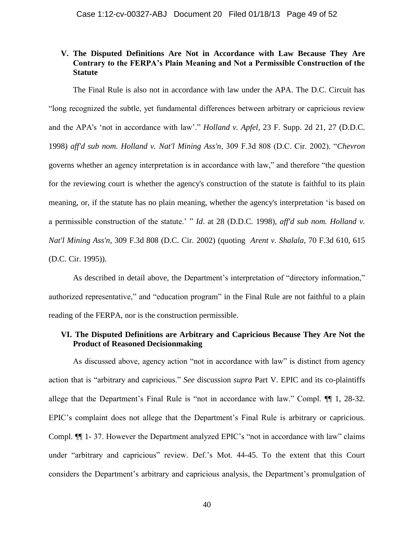## **V. The Disputed Definitions Are Not in Accordance with Law Because They Are Contrary to the FERPA's Plain Meaning and Not a Permissible Construction of the Statute**

The Final Rule is also not in accordance with law under the APA. The D.C. Circuit has "long recognized the subtle, yet fundamental differences between arbitrary or capricious review and the APA's 'not in accordance with law'." *Holland v. Apfel*, 23 F. Supp. 2d 21, 27 (D.D.C. 1998) *aff'd sub nom. Holland v. Nat'l Mining Ass'n*, 309 F.3d 808 (D.C. Cir. 2002). "*Chevron* governs whether an agency interpretation is in accordance with law," and therefore "the question for the reviewing court is whether the agency's construction of the statute is faithful to its plain meaning, or, if the statute has no plain meaning, whether the agency's interpretation 'is based on a permissible construction of the statute.' " *Id*. at 28 (D.D.C. 1998), *aff'd sub nom. Holland v. Nat'l Mining Ass'n*, 309 F.3d 808 (D.C. Cir. 2002) (quoting *Arent v. Shalala*, 70 F.3d 610, 615 (D.C. Cir. 1995)).

As described in detail above, the Department's interpretation of "directory information," authorized representative," and "education program" in the Final Rule are not faithful to a plain reading of the FERPA, nor is the construction permissible.

## **VI. The Disputed Definitions are Arbitrary and Capricious Because They Are Not the Product of Reasoned Decisionmaking**

As discussed above, agency action "not in accordance with law" is distinct from agency action that is "arbitrary and capricious." *See* discussion *supra* Part V. EPIC and its co-plaintiffs allege that the Department's Final Rule is "not in accordance with law." Compl. ¶¶ 1, 28-32. EPIC's complaint does not allege that the Department's Final Rule is arbitrary or capricious. Compl. ¶¶ 1- 37. However the Department analyzed EPIC's "not in accordance with law" claims under "arbitrary and capricious" review. Def.'s Mot. 44-45. To the extent that this Court considers the Department's arbitrary and capricious analysis, the Department's promulgation of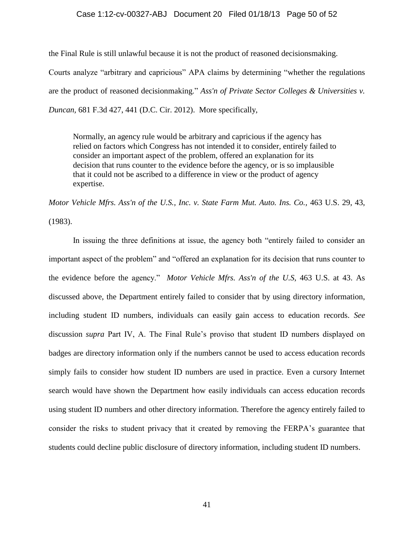### Case 1:12-cv-00327-ABJ Document 20 Filed 01/18/13 Page 50 of 52

the Final Rule is still unlawful because it is not the product of reasoned decisionsmaking. Courts analyze "arbitrary and capricious" APA claims by determining "whether the regulations are the product of reasoned decisionmaking." *Ass'n of Private Sector Colleges & Universities v. Duncan,* 681 F.3d 427, 441 (D.C. Cir. 2012). More specifically,

Normally, an agency rule would be arbitrary and capricious if the agency has relied on factors which Congress has not intended it to consider, entirely failed to consider an important aspect of the problem, offered an explanation for its decision that runs counter to the evidence before the agency, or is so implausible that it could not be ascribed to a difference in view or the product of agency expertise.

*Motor Vehicle Mfrs. Ass'n of the U.S., Inc. v. State Farm Mut. Auto. Ins. Co.,* 463 U.S. 29, 43,

(1983).

In issuing the three definitions at issue, the agency both "entirely failed to consider an important aspect of the problem" and "offered an explanation for its decision that runs counter to the evidence before the agency." *Motor Vehicle Mfrs. Ass'n of the U.S,* 463 U.S. at 43. As discussed above, the Department entirely failed to consider that by using directory information, including student ID numbers, individuals can easily gain access to education records. *See* discussion *supra* Part IV, A. The Final Rule's proviso that student ID numbers displayed on badges are directory information only if the numbers cannot be used to access education records simply fails to consider how student ID numbers are used in practice. Even a cursory Internet search would have shown the Department how easily individuals can access education records using student ID numbers and other directory information. Therefore the agency entirely failed to consider the risks to student privacy that it created by removing the FERPA's guarantee that students could decline public disclosure of directory information, including student ID numbers.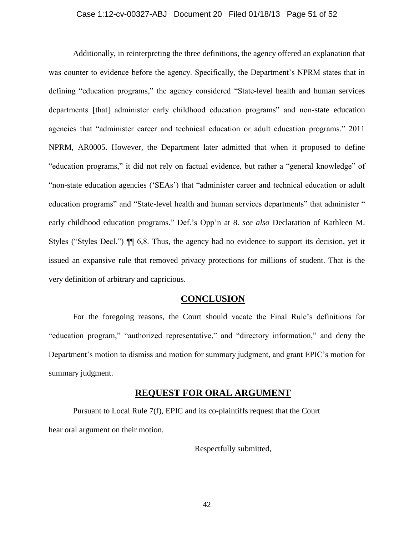### Case 1:12-cv-00327-ABJ Document 20 Filed 01/18/13 Page 51 of 52

Additionally, in reinterpreting the three definitions, the agency offered an explanation that was counter to evidence before the agency. Specifically, the Department's NPRM states that in defining "education programs," the agency considered "State-level health and human services departments [that] administer early childhood education programs" and non-state education agencies that "administer career and technical education or adult education programs." 2011 NPRM, AR0005. However, the Department later admitted that when it proposed to define "education programs," it did not rely on factual evidence, but rather a "general knowledge" of "non-state education agencies ('SEAs') that "administer career and technical education or adult education programs" and "State-level health and human services departments" that administer " early childhood education programs." Def.'s Opp'n at 8. *see also* Declaration of Kathleen M. Styles ("Styles Decl.") ¶¶ 6,8. Thus, the agency had no evidence to support its decision, yet it issued an expansive rule that removed privacy protections for millions of student. That is the very definition of arbitrary and capricious.

## **CONCLUSION**

For the foregoing reasons, the Court should vacate the Final Rule's definitions for "education program," "authorized representative," and "directory information," and deny the Department's motion to dismiss and motion for summary judgment, and grant EPIC's motion for summary judgment.

### **REQUEST FOR ORAL ARGUMENT**

Pursuant to Local Rule 7(f), EPIC and its co-plaintiffs request that the Court hear oral argument on their motion.

Respectfully submitted,